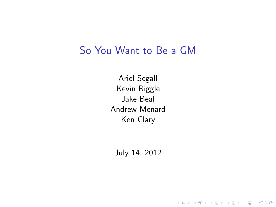#### So You Want to Be a GM

Ariel Segall Kevin Riggle Jake Beal Andrew Menard Ken Clary

<span id="page-0-0"></span>July 14, 2012

K ロ ▶ K @ ▶ K 할 > K 할 > 1 할 > 1 ⊙ Q Q ^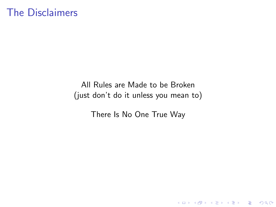#### The Disclaimers

All Rules are Made to be Broken (just don't do it unless you mean to)

There Is No One True Way

K ロ ▶ K @ ▶ K 할 ▶ K 할 ▶ | 할 | © 9 Q @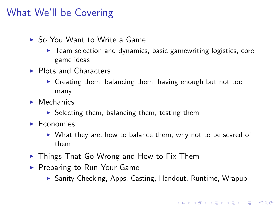#### What We'll be Covering

- ▶ So You Want to Write a Game
	- $\triangleright$  Team selection and dynamics, basic gamewriting logistics, core game ideas
- $\blacktriangleright$  Plots and Characters
	- $\triangleright$  Creating them, balancing them, having enough but not too many
- $\blacktriangleright$  Mechanics
	- $\triangleright$  Selecting them, balancing them, testing them
- $\blacktriangleright$  Economies
	- $\triangleright$  What they are, how to balance them, why not to be scared of them
- $\triangleright$  Things That Go Wrong and How to Fix Them
- <span id="page-2-0"></span>▶ Preparing to Run Your Game
	- ▶ Sanity Checking, Apps, Casting, Handout, Runtime, Wrapup

**KORK ERKER ADE YOUR**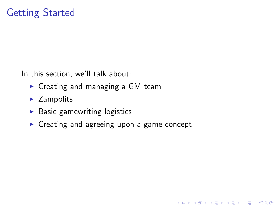In this section, we'll talk about:

- $\triangleright$  Creating and managing a GM team
- $\blacktriangleright$  Zampolits
- $\blacktriangleright$  Basic gamewriting logistics
- <span id="page-3-0"></span> $\triangleright$  Creating and agreeing upon a game concept

**KOD KARD KED KED E VOOR**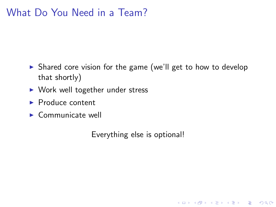#### What Do You Need in a Team?

- $\triangleright$  Shared core vision for the game (we'll get to how to develop that shortly)
- $\triangleright$  Work well together under stress
- $\blacktriangleright$  Produce content
- $\triangleright$  Communicate well

Everything else is optional!

K ロ ▶ K @ ▶ K 할 > K 할 > 1 할 > 1 이익어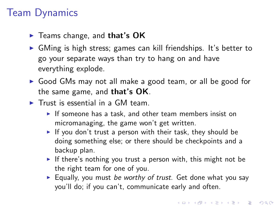# Team Dynamics

- $\blacktriangleright$  Teams change, and that's OK
- $\triangleright$  GMing is high stress; games can kill friendships. It's better to go your separate ways than try to hang on and have everything explode.
- ► Good GMs may not all make a good team, or all be good for the same game, and that's OK.
- $\triangleright$  Trust is essential in a GM team.
	- If someone has a task, and other team members insist on micromanaging, the game won't get written.
	- If you don't trust a person with their task, they should be doing something else; or there should be checkpoints and a backup plan.
	- If there's nothing you trust a person with, this might not be the right team for one of you.
	- Equally, you must be worthy of trust. Get done what you say you'll do; if you can't, communicate early and often.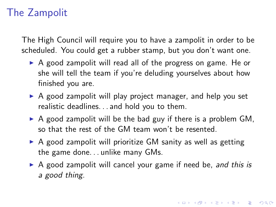# The Zampolit

The High Council will require you to have a zampolit in order to be scheduled. You could get a rubber stamp, but you don't want one.

- $\triangleright$  A good zampolit will read all of the progress on game. He or she will tell the team if you're deluding yourselves about how finished you are.
- $\triangleright$  A good zampolit will play project manager, and help you set realistic deadlines. . . and hold you to them.
- $\triangleright$  A good zampolit will be the bad guy if there is a problem GM, so that the rest of the GM team won't be resented.
- $\triangleright$  A good zampolit will prioritize GM sanity as well as getting the game done. . . unlike many GMs.
- $\triangleright$  A good zampolit will cancel your game if need be, and this is a good thing.

**K ロ ▶ K @ ▶ K 할 X X 할 X 및 할 X X Q Q O**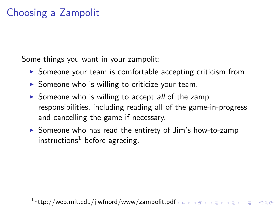# Choosing a Zampolit

Some things you want in your zampolit:

- $\triangleright$  Someone your team is comfortable accepting criticism from.
- $\triangleright$  Someone who is willing to criticize your team.
- Someone who is willing to accept all of the zamp responsibilities, including reading all of the game-in-progress and cancelling the game if necessary.
- $\triangleright$  Someone who has read the entirety of Jim's how-to-zamp instructions<sup>1</sup> before agreeing.

 $^{\rm 1}$ http://web.mit.edu/jlwfnord/www/zampolit.pdf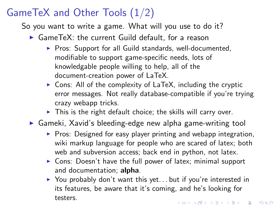# GameTeX and Other Tools (1/2)

So you want to write a game. What will you use to do it?

- $\triangleright$  GameTeX: the current Guild default, for a reason
	- $\triangleright$  Pros: Support for all Guild standards, well-documented, modifiable to support game-specific needs, lots of knowledgable people willing to help, all of the document-creation power of LaTeX.
	- $\triangleright$  Cons: All of the complexity of LaTeX, including the cryptic error messages. Not really database-compatible if you're trying crazy webapp tricks.
	- $\triangleright$  This is the right default choice; the skills will carry over.
- ► Gameki, Xavid's bleeding-edge new alpha game-writing tool
	- $\triangleright$  Pros: Designed for easy player printing and webapp integration, wiki markup language for people who are scared of latex; both web and subversion access; back end in python, not latex.
	- $\triangleright$  Cons: Doesn't have the full power of latex; minimal support and documentation; alpha.
	- $\triangleright$  You probably don't want this yet... but if you're interested in its features, be aware that it's coming, and he's looking for testers.4 D > 4 P + 4 B + 4 B + B + 9 Q O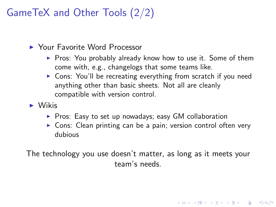# GameTeX and Other Tools (2/2)

- **I** Your Favorite Word Processor
	- $\triangleright$  Pros: You probably already know how to use it. Some of them come with, e.g., changelogs that some teams like.
	- $\triangleright$  Cons: You'll be recreating everything from scratch if you need anything other than basic sheets. Not all are cleanly compatible with version control.
- $\triangleright$  Wikis
	- $\blacktriangleright$  Pros: Easy to set up nowadays; easy GM collaboration
	- $\triangleright$  Cons: Clean printing can be a pain; version control often very dubious

4 D > 4 P + 4 B + 4 B + B + 9 Q O

The technology you use doesn't matter, as long as it meets your team's needs.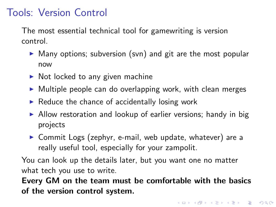#### Tools: Version Control

The most essential technical tool for gamewriting is version control.

- $\triangleright$  Many options; subversion (svn) and git are the most popular now
- $\triangleright$  Not locked to any given machine
- $\triangleright$  Multiple people can do overlapping work, with clean merges
- $\blacktriangleright$  Reduce the chance of accidentally losing work
- $\triangleright$  Allow restoration and lookup of earlier versions; handy in big projects
- $\triangleright$  Commit Logs (zephyr, e-mail, web update, whatever) are a really useful tool, especially for your zampolit.

You can look up the details later, but you want one no matter what tech you use to write.

<span id="page-10-0"></span>Every GM on the team must be comfortable with the basics of the version control system.

**K ロ ▶ K @ ▶ K 할 X X 할 X 및 할 X X Q Q O**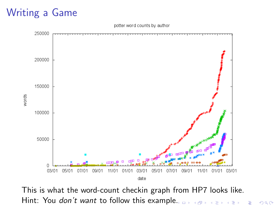# Writing a Game



This is what the word-count checkin graph from HP7 looks like. Hint: You *don't want* to follow this exampl[e.](#page-10-0)

 $\Rightarrow$ 

 $2990$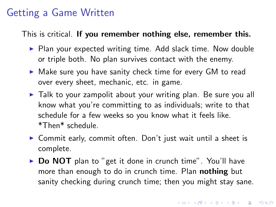#### Getting a Game Written

This is critical. If you remember nothing else, remember this.

- $\triangleright$  Plan your expected writing time. Add slack time. Now double or triple both. No plan survives contact with the enemy.
- $\triangleright$  Make sure you have sanity check time for every GM to read over every sheet, mechanic, etc. in game.
- $\triangleright$  Talk to your zampolit about your writing plan. Be sure you all know what you're committing to as individuals; write to that schedule for a few weeks so you know what it feels like. \*Then\* schedule.
- ▶ Commit early, commit often. Don't just wait until a sheet is complete.
- <span id="page-12-0"></span> $\triangleright$  Do NOT plan to "get it done in crunch time". You'll have more than enough to do in crunch time. Plan **nothing** but sanity checking during crunch time; then you might stay sane.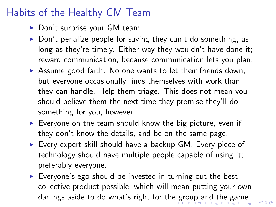### Habits of the Healthy GM Team

- $\triangleright$  Don't surprise your GM team.
- $\triangleright$  Don't penalize people for saying they can't do something, as long as they're timely. Either way they wouldn't have done it; reward communication, because communication lets you plan.
- $\triangleright$  Assume good faith. No one wants to let their friends down, but everyone occasionally finds themselves with work than they can handle. Help them triage. This does not mean you should believe them the next time they promise they'll do something for you, however.
- $\triangleright$  Everyone on the team should know the big picture, even if they don't know the details, and be on the same page.
- $\triangleright$  Every expert skill should have a backup GM. Every piece of technology should have multiple people capable of using it; preferably everyone.
- <span id="page-13-0"></span> $\triangleright$  Everyone's ego should be invested in turning out the best collective product possible, which will mean putting your own darlings aside to do what's right for the [g](#page-12-0)r[ou](#page-14-0)[p](#page-12-0) [a](#page-13-0)[n](#page-14-0)[d](#page-2-0)[t](#page-21-0)[he](#page-22-0) [g](#page-3-0)[a](#page-21-0)[m](#page-22-0)[e](#page-0-0)[.](#page-144-0)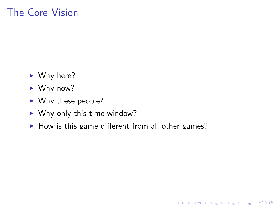### The Core Vision

- $\blacktriangleright$  Why here?
- $\blacktriangleright$  Why now?
- $\blacktriangleright$  Why these people?
- $\blacktriangleright$  Why only this time window?
- <span id="page-14-0"></span> $\blacktriangleright$  How is this game different from all other games?

K ロ ▶ K @ ▶ K 할 > K 할 > 1 할 > 1 이익어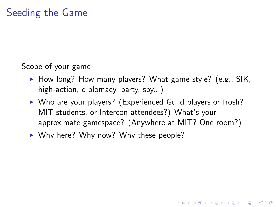#### Scope of your game

- $\blacktriangleright$  How long? How many players? What game style? (e.g., SIK, high-action, diplomacy, party, spy...)
- $\triangleright$  Who are your players? (Experienced Guild players or frosh? MIT students, or Intercon attendees?) What's your approximate gamespace? (Anywhere at MIT? One room?)

**KORK ERKER ADE YOUR** 

 $\triangleright$  Why here? Why now? Why these people?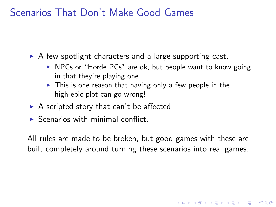#### Scenarios That Don't Make Good Games

 $\triangleright$  A few spotlight characters and a large supporting cast.

- $\triangleright$  NPCs or "Horde PCs" are ok, but people want to know going in that they're playing one.
- $\triangleright$  This is one reason that having only a few people in the high-epic plot can go wrong!
- $\triangleright$  A scripted story that can't be affected.
- $\triangleright$  Scenarios with minimal conflict.

All rules are made to be broken, but good games with these are built completely around turning these scenarios into real games.

**KORK ERKER ADE YOUR**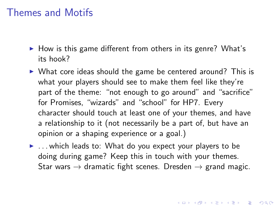#### Themes and Motifs

- $\blacktriangleright$  How is this game different from others in its genre? What's its hook?
- $\triangleright$  What core ideas should the game be centered around? This is what your players should see to make them feel like they're part of the theme: "not enough to go around" and "sacrifice" for Promises, "wizards" and "school" for HP7. Every character should touch at least one of your themes, and have a relationship to it (not necessarily be a part of, but have an opinion or a shaping experience or a goal.)
- $\blacktriangleright$  ... which leads to: What do you expect your players to be doing during game? Keep this in touch with your themes. Star wars  $\rightarrow$  dramatic fight scenes. Dresden  $\rightarrow$  grand magic.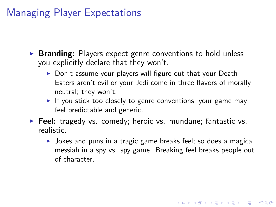#### Managing Player Expectations

- $\triangleright$  Branding: Players expect genre conventions to hold unless you explicitly declare that they won't.
	- $\triangleright$  Don't assume your players will figure out that your Death Eaters aren't evil or your Jedi come in three flavors of morally neutral; they won't.
	- $\blacktriangleright$  If you stick too closely to genre conventions, your game may feel predictable and generic.
- $\triangleright$  Feel: tragedy vs. comedy; heroic vs. mundane; fantastic vs. realistic.
	- $\triangleright$  Jokes and puns in a tragic game breaks feel; so does a magical messiah in a spy vs. spy game. Breaking feel breaks people out of character.

4 D > 4 P + 4 B + 4 B + B + 9 Q O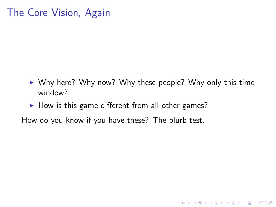### The Core Vision, Again

 $\triangleright$  Why here? Why now? Why these people? Why only this time window?

**K ロ ▶ K @ ▶ K 할 X X 할 X 및 할 X X Q Q O** 

 $\blacktriangleright$  How is this game different from all other games?

How do you know if you have these? The blurb test.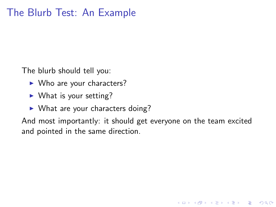The blurb should tell you:

- $\blacktriangleright$  Who are your characters?
- $\blacktriangleright$  What is your setting?
- $\triangleright$  What are your characters doing?

And most importantly: it should get everyone on the team excited and pointed in the same direction.

**KORK ERKER ADE YOUR**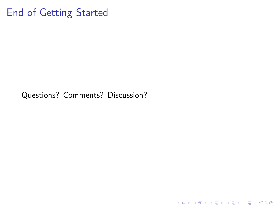#### End of Getting Started

<span id="page-21-0"></span>Questions? Comments? Discussion?

K ロ ▶ K @ ▶ K 할 ▶ K 할 ▶ ... 할 ... 9 Q Q ·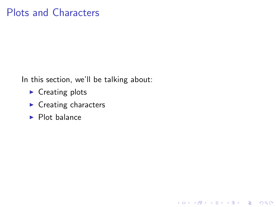#### Plots and Characters

In this section, we'll be talking about:

K ロ ▶ K @ ▶ K 할 > K 할 > 1 할 > 1 이익어

- $\blacktriangleright$  Creating plots
- $\blacktriangleright$  Creating characters
- <span id="page-22-0"></span> $\blacktriangleright$  Plot balance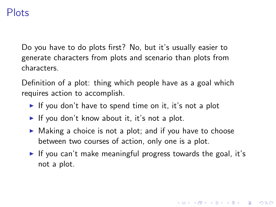#### Plots

Do you have to do plots first? No, but it's usually easier to generate characters from plots and scenario than plots from characters.

Definition of a plot: thing which people have as a goal which requires action to accomplish.

- If you don't have to spend time on it, it's not a plot
- If you don't know about it, it's not a plot.
- $\triangleright$  Making a choice is not a plot; and if you have to choose between two courses of action, only one is a plot.
- If you can't make meaningful progress towards the goal, it's not a plot.

4 D > 4 P + 4 B + 4 B + B + 9 Q O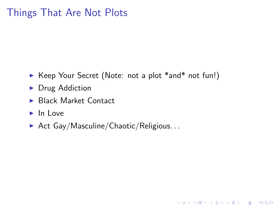### Things That Are Not Plots

▶ Keep Your Secret (Note: not a plot \*and\* not fun!)

K ロ ▶ K @ ▶ K 할 > K 할 > 1 할 > 1 이익어

- $\triangleright$  Drug Addiction
- ▶ Black Market Contact
- $\blacktriangleright$  In Love
- Act Gay/Masculine/Chaotic/Religious...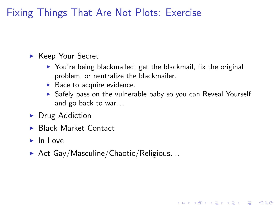Fixing Things That Are Not Plots: Exercise

- ► Keep Your Secret
	- $\triangleright$  You're being blackmailed; get the blackmail, fix the original problem, or neutralize the blackmailer.
	- $\blacktriangleright$  Race to acquire evidence.
	- $\triangleright$  Safely pass on the vulnerable baby so you can Reveal Yourself and go back to war. . .

**KORK ERKER ADE YOUR** 

- $\triangleright$  Drug Addiction
- ▶ Black Market Contact
- $\blacktriangleright$  In Love
- $\blacktriangleright$  Act Gay/Masculine/Chaotic/Religious...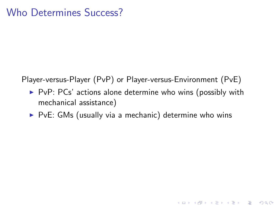Player-versus-Player (PvP) or Player-versus-Environment (PvE)

 $\triangleright$  PvP: PCs' actions alone determine who wins (possibly with mechanical assistance)

K ロ ▶ K @ ▶ K 할 > K 할 > 1 할 > 1 이익어

 $\triangleright$  PvE: GMs (usually via a mechanic) determine who wins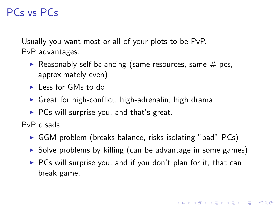# PCs vs PCs

Usually you want most or all of your plots to be PvP. PvP advantages:

- Reasonably self-balancing (same resources, same  $#$  pcs, approximately even)
- **I** Less for GMs to do
- $\triangleright$  Great for high-conflict, high-adrenalin, high drama
- $\triangleright$  PCs will surprise you, and that's great.

PvP disads:

- $\triangleright$  GGM problem (breaks balance, risks isolating "bad" PCs)
- $\triangleright$  Solve problems by killing (can be advantage in some games)
- $\triangleright$  PCs will surprise you, and if you don't plan for it, that can break game.

**KORK ERKER ADE YOUR**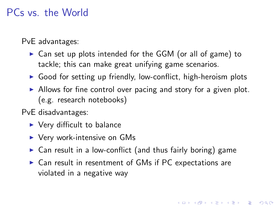#### PCs vs. the World

PvE advantages:

- $\triangleright$  Can set up plots intended for the GGM (or all of game) to tackle; this can make great unifying game scenarios.
- $\triangleright$  Good for setting up friendly, low-conflict, high-heroism plots
- $\triangleright$  Allows for fine control over pacing and story for a given plot. (e.g. research notebooks)

PvE disadvantages:

- $\blacktriangleright$  Very difficult to balance
- $\blacktriangleright$  Very work-intensive on GMs
- $\triangleright$  Can result in a low-conflict (and thus fairly boring) game
- $\triangleright$  Can result in resentment of GMs if PC expectations are violated in a negative way

**KORK ERKER ADE YOUR**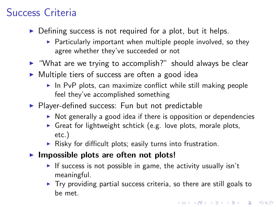# Success Criteria

- $\triangleright$  Defining success is not required for a plot, but it helps.
	- $\triangleright$  Particularly important when multiple people involved, so they agree whether they've succeeded or not
- $\triangleright$  "What are we trying to accomplish?" should always be clear
- $\triangleright$  Multiple tiers of success are often a good idea
	- $\blacktriangleright$  In PvP plots, can maximize conflict while still making people feel they've accomplished something
- $\blacktriangleright$  Player-defined success: Fun but not predictable
	- $\triangleright$  Not generally a good idea if there is opposition or dependencies
	- Great for lightweight schtick (e.g. love plots, morale plots, etc.)
	- $\triangleright$  Risky for difficult plots; easily turns into frustration.
- $\blacktriangleright$  Impossible plots are often not plots!
	- If success is not possible in game, the activity usually isn't meaningful.
	- $\triangleright$  Try providing partial success criteria, so there are still goals to be met.

4 D > 4 P + 4 B + 4 B + B + 9 Q O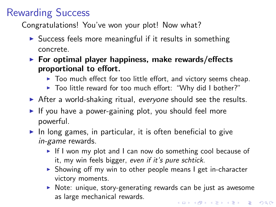# Rewarding Success

Congratulations! You've won your plot! Now what?

- $\triangleright$  Success feels more meaningful if it results in something concrete.
- $\triangleright$  For optimal player happiness, make rewards/effects proportional to effort.
	- $\triangleright$  Too much effect for too little effort, and victory seems cheap.
	- ▶ Too little reward for too much effort: "Why did I bother?"
- $\triangleright$  After a world-shaking ritual, everyone should see the results.
- If you have a power-gaining plot, you should feel more powerful.
- $\triangleright$  In long games, in particular, it is often beneficial to give in-game rewards.
	- $\blacktriangleright$  If I won my plot and I can now do something cool because of it, my win feels bigger, even if it's pure schtick.
	- $\triangleright$  Showing off my win to other people means I get in-character victory moments.
	- $\triangleright$  Note: unique, story-generating rewards can be just as awesome as large mechanical rewards.4 D > 4 P + 4 B + 4 B + B + 9 Q O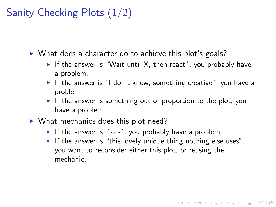# Sanity Checking Plots (1/2)

 $\triangleright$  What does a character do to achieve this plot's goals?

- If the answer is "Wait until X, then react", you probably have a problem.
- If the answer is "I don't know, something creative", you have a problem.
- If the answer is something out of proportion to the plot, you have a problem.
- $\triangleright$  What mechanics does this plot need?
	- If the answer is "lots", you probably have a problem.
	- If the answer is "this lovely unique thing nothing else uses". you want to reconsider either this plot, or reusing the mechanic.

**KORK ERKER ADE YOUR**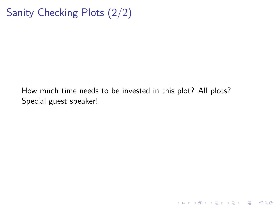# Sanity Checking Plots (2/2)

How much time needs to be invested in this plot? All plots? Special guest speaker!

K ロ ▶ K @ ▶ K 할 ▶ K 할 ▶ | 할 | © 9 Q @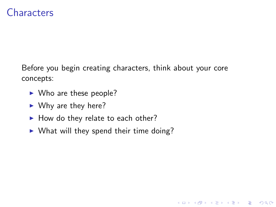#### **Characters**

Before you begin creating characters, think about your core concepts:

K ロ ▶ K @ ▶ K 할 > K 할 > 1 할 > 1 이익어

- $\triangleright$  Who are these people?
- $\blacktriangleright$  Why are they here?
- $\blacktriangleright$  How do they relate to each other?
- $\triangleright$  What will they spend their time doing?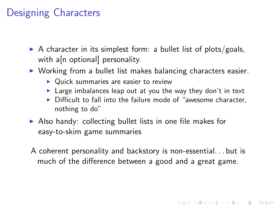### Designing Characters

- $\triangleright$  A character in its simplest form: a bullet list of plots/goals, with a<sup>n</sup> optional personality.
- $\triangleright$  Working from a bullet list makes balancing characters easier.
	- $\triangleright$  Quick summaries are easier to review
	- $\blacktriangleright$  Large imbalances leap out at you the way they don't in text
	- $\triangleright$  Difficult to fall into the failure mode of "awesome character, nothing to do"
- $\triangleright$  Also handy: collecting bullet lists in one file makes for easy-to-skim game summaries
- A coherent personality and backstory is non-essential. . . but is much of the difference between a good and a great game.

4 D > 4 P + 4 B + 4 B + B + 9 Q O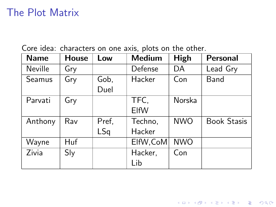### The Plot Matrix

| <b>Name</b>   | <b>House</b> | Low          | <b>Medium</b>     | High       | <b>Personal</b>    |
|---------------|--------------|--------------|-------------------|------------|--------------------|
| Neville       | Gry          |              | Defense           | DA         | Lead Gry           |
| <b>Seamus</b> | Gry          | Gob,<br>Duel | Hacker            | Con        | Band               |
| Parvati       | Gry          |              | TFC,<br>ElfW      | Norska     |                    |
| Anthony       | Rav          | Pref,<br>LSq | Techno,<br>Hacker | <b>NWO</b> | <b>Book Stasis</b> |
| Wayne         | Huf          |              | ElfW, CoM         | <b>NWO</b> |                    |
| Zivia         | Sly          |              | Hacker,<br>Lib    | Con        |                    |

KOX KOX KEX KEX E 1990

Core idea: characters on one axis, plots on the other.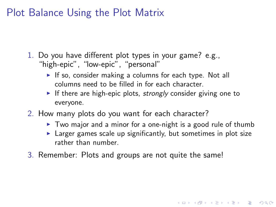### Plot Balance Using the Plot Matrix

- 1. Do you have different plot types in your game? e.g., "high-epic", "low-epic", "personal"
	- If so, consider making a columns for each type. Not all columns need to be filled in for each character.
	- If there are high-epic plots, strongly consider giving one to everyone.
- 2. How many plots do you want for each character?
	- $\triangleright$  Two major and a minor for a one-night is a good rule of thumb
	- $\blacktriangleright$  Larger games scale up significantly, but sometimes in plot size rather than number.

**KORK ERKER ADE YOUR** 

3. Remember: Plots and groups are not quite the same!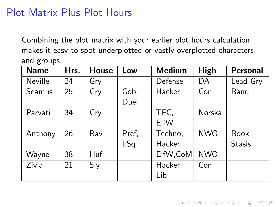### Plot Matrix Plus Plot Hours

Combining the plot matrix with your earlier plot hours calculation makes it easy to spot underplotted or vastly overplotted characters and groups.

| <b>Name</b> | Hrs. | <b>House</b> | Low   | <b>Medium</b> | High       | Personal      |
|-------------|------|--------------|-------|---------------|------------|---------------|
| Neville     | 24   | Gry          |       | Defense       | DA         | Lead Gry      |
| Seamus      | 25   | Gry          | Gob,  | Hacker        | Con        | Band          |
|             |      |              | Duel  |               |            |               |
| Parvati     | 34   | Gry          |       | TFC,          | Norska     |               |
|             |      |              |       | ElfW          |            |               |
| Anthony     | 26   | Rav          | Pref, | Techno,       | <b>NWO</b> | <b>Book</b>   |
|             |      |              | LSq   | Hacker        |            | <b>Stasis</b> |
| Wayne       | 38   | Huf          |       | ElfW, CoM     | <b>NWO</b> |               |
| Zivia       | 21   | Sly          |       | Hacker,       | Con        |               |
|             |      |              |       | Lib           |            |               |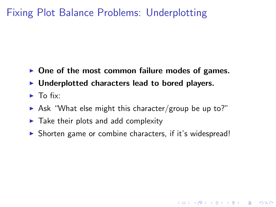# Fixing Plot Balance Problems: Underplotting

- $\triangleright$  One of the most common failure modes of games.
- $\blacktriangleright$  Underplotted characters lead to bored players.
- $\blacktriangleright$  To fix:
- $\triangleright$  Ask "What else might this character/group be up to?"
- $\blacktriangleright$  Take their plots and add complexity
- $\triangleright$  Shorten game or combine characters, if it's widespread!

**K ロ ▶ K @ ▶ K 할 X X 할 X → 할 X → 9 Q Q ^**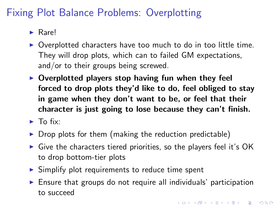# Fixing Plot Balance Problems: Overplotting

- $\blacktriangleright$  Rarel
- $\triangleright$  Overplotted characters have too much to do in too little time. They will drop plots, which can to failed GM expectations, and/or to their groups being screwed.
- $\triangleright$  Overplotted players stop having fun when they feel forced to drop plots they'd like to do, feel obliged to stay in game when they don't want to be, or feel that their character is just going to lose because they can't finish.
- $\blacktriangleright$  To fix:
- $\triangleright$  Drop plots for them (making the reduction predictable)
- $\triangleright$  Give the characters tiered priorities, so the players feel it's OK to drop bottom-tier plots
- $\triangleright$  Simplify plot requirements to reduce time spent
- $\triangleright$  Ensure that groups do not require all individuals' participation to succeed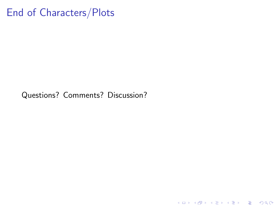# End of Characters/Plots

Questions? Comments? Discussion?

K ロ X (日) X (원) X 원) / 원 / 9 0 0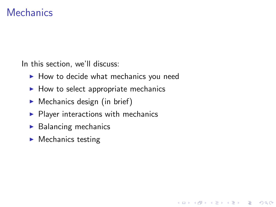#### **Mechanics**

In this section, we'll discuss:

 $\blacktriangleright$  How to decide what mechanics you need

**KORK ERKER ADE YOUR** 

- $\blacktriangleright$  How to select appropriate mechanics
- $\blacktriangleright$  Mechanics design (in brief)
- $\blacktriangleright$  Player interactions with mechanics
- $\blacktriangleright$  Balancing mechanics
- $\blacktriangleright$  Mechanics testing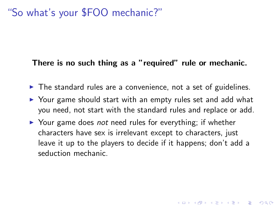## "So what's your \$FOO mechanic?"

#### There is no such thing as a "required" rule or mechanic.

- $\triangleright$  The standard rules are a convenience, not a set of guidelines.
- $\triangleright$  Your game should start with an empty rules set and add what you need, not start with the standard rules and replace or add.
- $\triangleright$  Your game does *not* need rules for everything; if whether characters have sex is irrelevant except to characters, just leave it up to the players to decide if it happens; don't add a seduction mechanic.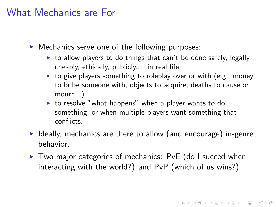### What Mechanics are For

 $\triangleright$  Mechanics serve one of the following purposes:

- $\triangleright$  to allow players to do things that can't be done safely, legally, cheaply, ethically, publicly.... in real life
- $\triangleright$  to give players something to roleplay over or with (e.g., money to bribe someone with, objects to acquire, deaths to cause or mourn...)
- $\triangleright$  to resolve "what happens" when a player wants to do something, or when multiple players want something that conflicts.
- $\blacktriangleright$  Ideally, mechanics are there to allow (and encourage) in-genre behavior.
- $\triangleright$  Two major categories of mechanics: PvE (do I succed when interacting with the world?) and PvP (which of us wins?)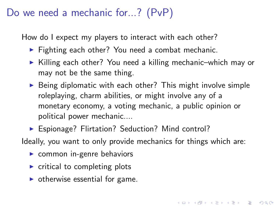## Do we need a mechanic for...? (PvP)

How do I expect my players to interact with each other?

- $\triangleright$  Fighting each other? You need a combat mechanic.
- $\triangleright$  Killing each other? You need a killing mechanic–which may or may not be the same thing.
- $\triangleright$  Being diplomatic with each other? This might involve simple roleplaying, charm abilities, or might involve any of a monetary economy, a voting mechanic, a public opinion or political power mechanic....
- ▶ Espionage? Flirtation? Seduction? Mind control?

Ideally, you want to only provide mechanics for things which are:

- $\triangleright$  common in-genre behaviors
- $\triangleright$  critical to completing plots
- $\triangleright$  otherwise essential for game.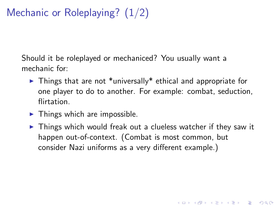# Mechanic or Roleplaying? (1/2)

Should it be roleplayed or mechaniced? You usually want a mechanic for:

- $\triangleright$  Things that are not \*universally\* ethical and appropriate for one player to do to another. For example: combat, seduction, flirtation.
- $\blacktriangleright$  Things which are impossible.
- $\triangleright$  Things which would freak out a clueless watcher if they saw it happen out-of-context. (Combat is most common, but consider Nazi uniforms as a very different example.)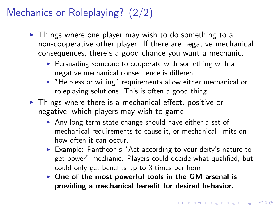# Mechanics or Roleplaying? (2/2)

- $\triangleright$  Things where one player may wish to do something to a non-cooperative other player. If there are negative mechanical consequences, there's a good chance you want a mechanic.
	- $\triangleright$  Persuading someone to cooperate with something with a negative mechanical consequence is different!
	- $\blacktriangleright$  "Helpless or willing" requirements allow either mechanical or roleplaying solutions. This is often a good thing.
- $\triangleright$  Things where there is a mechanical effect, positive or negative, which players may wish to game.
	- $\triangleright$  Any long-term state change should have either a set of mechanical requirements to cause it, or mechanical limits on how often it can occur.
	- Example: Pantheon's "Act according to your deity's nature to get power" mechanic. Players could decide what qualified, but could only get benefits up to 3 times per hour.
	- $\triangleright$  One of the most powerful tools in the GM arsenal is providing a mechanical benefit for desired behavior.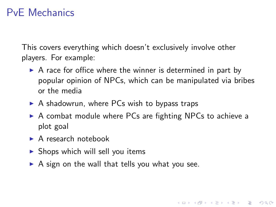## PvE Mechanics

This covers everything which doesn't exclusively involve other players. For example:

- $\triangleright$  A race for office where the winner is determined in part by popular opinion of NPCs, which can be manipulated via bribes or the media
- $\triangleright$  A shadowrun, where PCs wish to bypass traps
- $\triangleright$  A combat module where PCs are fighting NPCs to achieve a plot goal

**KORK ERKER ADE YOUR** 

- $\blacktriangleright$  A research notebook
- $\triangleright$  Shops which will sell you items
- $\triangleright$  A sign on the wall that tells you what you see.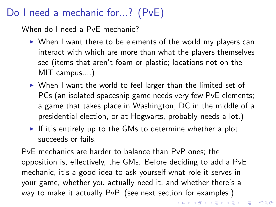# Do I need a mechanic for...? (PvE)

When do I need a PvE mechanic?

- $\triangleright$  When I want there to be elements of the world my players can interact with which are more than what the players themselves see (items that aren't foam or plastic; locations not on the MIT campus....)
- $\triangleright$  When I want the world to feel larger than the limited set of PCs (an isolated spaceship game needs very few PvE elements; a game that takes place in Washington, DC in the middle of a presidential election, or at Hogwarts, probably needs a lot.)
- If it's entirely up to the GMs to determine whether a plot succeeds or fails.

PvE mechanics are harder to balance than PvP ones; the opposition is, effectively, the GMs. Before deciding to add a PvE mechanic, it's a good idea to ask yourself what role it serves in your game, whether you actually need it, and whether there's a way to make it actually PvP. (see next section for examples.)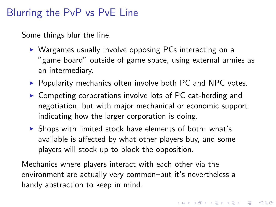#### Blurring the PvP vs PvE Line

Some things blur the line.

- $\triangleright$  Wargames usually involve opposing PCs interacting on a "game board" outside of game space, using external armies as an intermediary.
- $\triangleright$  Popularity mechanics often involve both PC and NPC votes.
- $\triangleright$  Competing corporations involve lots of PC cat-herding and negotiation, but with major mechanical or economic support indicating how the larger corporation is doing.
- $\triangleright$  Shops with limited stock have elements of both: what's available is affected by what other players buy, and some players will stock up to block the opposition.

Mechanics where players interact with each other via the environment are actually very common–but it's nevertheless a handy abstraction to keep in mind.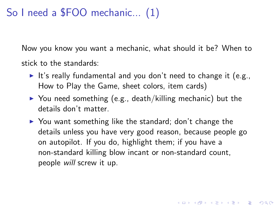## So I need a \$FOO mechanic... (1)

Now you know you want a mechanic, what should it be? When to stick to the standards:

- It's really fundamental and you don't need to change it (e.g., How to Play the Game, sheet colors, item cards)
- $\triangleright$  You need something (e.g., death/killing mechanic) but the details don't matter.
- $\triangleright$  You want something like the standard; don't change the details unless you have very good reason, because people go on autopilot. If you do, highlight them; if you have a non-standard killing blow incant or non-standard count, people will screw it up.

**KORKAR KERKER E VOOR**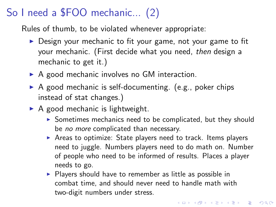# So I need a \$FOO mechanic... (2)

Rules of thumb, to be violated whenever appropriate:

- $\triangleright$  Design your mechanic to fit your game, not your game to fit your mechanic. (First decide what you need, then design a mechanic to get it.)
- $\triangleright$  A good mechanic involves no GM interaction.
- $\triangleright$  A good mechanic is self-documenting. (e.g., poker chips instead of stat changes.)
- $\triangleright$  A good mechanic is lightweight.
	- $\triangleright$  Sometimes mechanics need to be complicated, but they should be no more complicated than necessary.
	- $\triangleright$  Areas to optimize: State players need to track. Items players need to juggle. Numbers players need to do math on. Number of people who need to be informed of results. Places a player needs to go.
	- $\triangleright$  Players should have to remember as little as possible in combat time, and should never need to handle math with two-digit numbers under stress.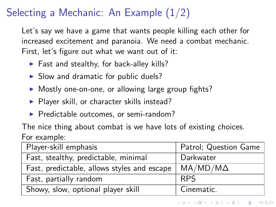# Selecting a Mechanic: An Example (1/2)

Let's say we have a game that wants people killing each other for increased excitement and paranoia. We need a combat mechanic. First, let's figure out what we want out of it:

- $\blacktriangleright$  Fast and stealthy, for back-alley kills?
- $\triangleright$  Slow and dramatic for public duels?
- $\triangleright$  Mostly one-on-one, or allowing large group fights?
- $\blacktriangleright$  Player skill, or character skills instead?
- $\blacktriangleright$  Predictable outcomes, or semi-random?

The nice thing about combat is we have lots of existing choices. For example:

| Player-skill emphasis                       | Patrol; Question Game |  |  |
|---------------------------------------------|-----------------------|--|--|
| Fast, stealthy, predictable, minimal        | Darkwater             |  |  |
| Fast, predictable, allows styles and escape | $MA/MD/M\Delta$       |  |  |
| Fast, partially random                      | <b>RPS</b>            |  |  |
| Showy, slow, optional player skill          | Cinematic.            |  |  |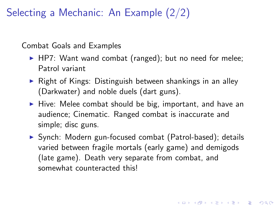Selecting a Mechanic: An Example (2/2)

Combat Goals and Examples

- $\blacktriangleright$  HP7: Want wand combat (ranged); but no need for melee; Patrol variant
- $\triangleright$  Right of Kings: Distinguish between shankings in an alley (Darkwater) and noble duels (dart guns).
- $\blacktriangleright$  Hive: Melee combat should be big, important, and have an audience; Cinematic. Ranged combat is inaccurate and simple; disc guns.
- ▶ Synch: Modern gun-focused combat (Patrol-based); details varied between fragile mortals (early game) and demigods (late game). Death very separate from combat, and somewhat counteracted this!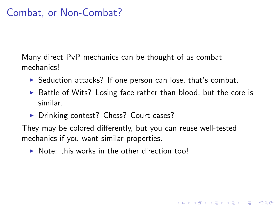### Combat, or Non-Combat?

Many direct PvP mechanics can be thought of as combat mechanics!

- $\triangleright$  Seduction attacks? If one person can lose, that's combat.
- $\triangleright$  Battle of Wits? Losing face rather than blood, but the core is similar.

**KORK ERKER ADE YOUR** 

▶ Drinking contest? Chess? Court cases?

They may be colored differently, but you can reuse well-tested mechanics if you want similar properties.

 $\triangleright$  Note: this works in the other direction too!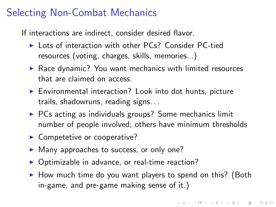# Selecting Non-Combat Mechanics

If interactions are indirect, consider desired flavor.

- ▶ Lots of interaction with other PCs? Consider PC-tied resources (voting, charges, skills, memories...)
- $\blacktriangleright$  Race dynamic? You want mechanics with limited resources that are claimed on access.
- $\triangleright$  Environmental interaction? Look into dot hunts, picture trails, shadowruns, reading signs. . .
- $\triangleright$  PCs acting as individuals groups? Some mechanics limit number of people involved; others have minimum thresholds
- $\blacktriangleright$  Competetive or cooperative?
- $\blacktriangleright$  Many approaches to success, or only one?
- $\triangleright$  Optimizable in advance, or real-time reaction?
- $\triangleright$  How much time do you want players to spend on this? (Both in-game, and pre-game making sense of it.)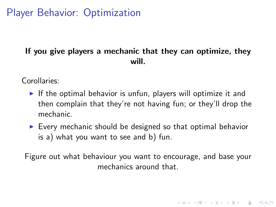# Player Behavior: Optimization

#### If you give players a mechanic that they can optimize, they will.

Corollaries:

- If the optimal behavior is unfun, players will optimize it and then complain that they're not having fun; or they'll drop the mechanic.
- $\triangleright$  Every mechanic should be designed so that optimal behavior is a) what you want to see and b) fun.

Figure out what behaviour you want to encourage, and base your mechanics around that.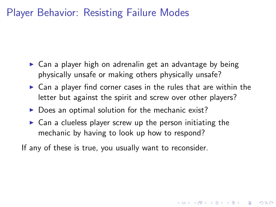# Player Behavior: Resisting Failure Modes

- $\triangleright$  Can a player high on adrenalin get an advantage by being physically unsafe or making others physically unsafe?
- $\triangleright$  Can a player find corner cases in the rules that are within the letter but against the spirit and screw over other players?

4 D > 4 P + 4 B + 4 B + B + 9 Q O

- $\triangleright$  Does an optimal solution for the mechanic exist?
- $\triangleright$  Can a clueless player screw up the person initiating the mechanic by having to look up how to respond?

If any of these is true, you usually want to reconsider.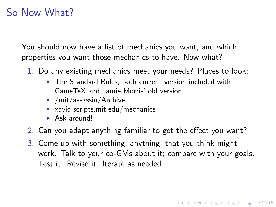### So Now What?

You should now have a list of mechanics you want, and which properties you want those mechanics to have. Now what?

- 1. Do any existing mechanics meet your needs? Places to look:
	- $\triangleright$  The Standard Rules, both current version included with GameTeX and Jamie Morris' old version
	- $\blacktriangleright$  /mit/assassin/Archive
	- $\blacktriangleright$  xavid.scripts.mit.edu/mechanics
	- $\blacktriangleright$  Ask around!
- 2. Can you adapt anything familiar to get the effect you want?
- 3. Come up with something, anything, that you think might work. Talk to your co-GMs about it; compare with your goals. Test it. Revise it. Iterate as needed.

**KORK ERKER ADE YOUR**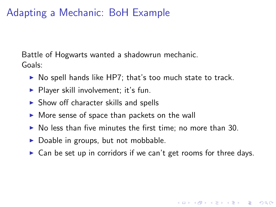## Adapting a Mechanic: BoH Example

Battle of Hogwarts wanted a shadowrun mechanic. Goals:

- $\triangleright$  No spell hands like HP7; that's too much state to track.
- $\blacktriangleright$  Player skill involvement; it's fun.
- $\triangleright$  Show off character skills and spells
- $\triangleright$  More sense of space than packets on the wall
- $\triangleright$  No less than five minutes the first time; no more than 30.
- $\triangleright$  Doable in groups, but not mobbable.
- $\triangleright$  Can be set up in corridors if we can't get rooms for three days.

**K ロ ▶ K @ ▶ K 할 X X 할 X → 할 X → 9 Q Q ^**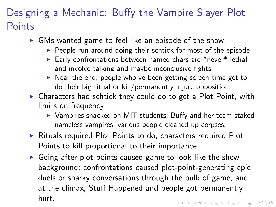# Designing a Mechanic: Buffy the Vampire Slayer Plot **Points**

- $\triangleright$  GMs wanted game to feel like an episode of the show:
	- $\triangleright$  People run around doing their schtick for most of the episode
	- Early confrontations between named chars are \*never\* lethal and involve talking and maybe inconclusive fights
	- $\triangleright$  Near the end, people who've been getting screen time get to do their big ritual or kill/permanently injure opposition.
- $\triangleright$  Characters had schtick they could do to get a Plot Point, with limits on frequency
	- $\triangleright$  Vampires snacked on MIT students; Buffy and her team staked nameless vampires; various people cleaned up corpses.
- $\triangleright$  Rituals required Plot Points to do; characters required Plot Points to kill proportional to their importance
- $\triangleright$  Going after plot points caused game to look like the show background; confrontations caused plot-point-generating epic duels or snarky conversations through the bulk of game; and at the climax, Stuff Happened and people got permanently hurt.4 D > 4 P + 4 B + 4 B + B + 9 Q O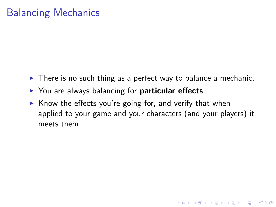# Balancing Mechanics

- $\triangleright$  There is no such thing as a perfect way to balance a mechanic.
- $\triangleright$  You are always balancing for **particular effects**.
- $\triangleright$  Know the effects you're going for, and verify that when applied to your game and your characters (and your players) it meets them.

**KORK SERVER SHOPE**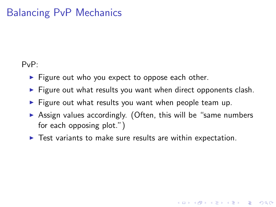# Balancing PvP Mechanics

PvP:

- $\blacktriangleright$  Figure out who you expect to oppose each other.
- $\triangleright$  Figure out what results you want when direct opponents clash.
- $\blacktriangleright$  Figure out what results you want when people team up.
- $\triangleright$  Assign values accordingly. (Often, this will be "same numbers for each opposing plot.")

**KORK ERKER ADE YOUR** 

 $\blacktriangleright$  Test variants to make sure results are within expectation.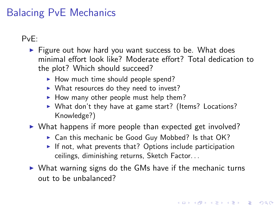# Balacing PvE Mechanics

PvE:

- $\blacktriangleright$  Figure out how hard you want success to be. What does minimal effort look like? Moderate effort? Total dedication to the plot? Which should succeed?
	- $\blacktriangleright$  How much time should people spend?
	- $\triangleright$  What resources do they need to invest?
	- $\blacktriangleright$  How many other people must help them?
	- $\triangleright$  What don't they have at game start? (Items? Locations? Knowledge?)
- $\triangleright$  What happens if more people than expected get involved?
	- $\triangleright$  Can this mechanic be Good Guy Mobbed? Is that OK?
	- If not, what prevents that? Options include participation ceilings, diminishing returns, Sketch Factor. . .
- $\triangleright$  What warning signs do the GMs have if the mechanic turns out to be unbalanced?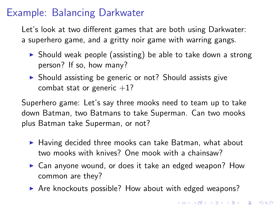### Example: Balancing Darkwater

Let's look at two different games that are both using Darkwater: a superhero game, and a gritty noir game with warring gangs.

- $\triangleright$  Should weak people (assisting) be able to take down a strong person? If so, how many?
- $\triangleright$  Should assisting be generic or not? Should assists give combat stat or generic  $+1$ ?

Superhero game: Let's say three mooks need to team up to take down Batman, two Batmans to take Superman. Can two mooks plus Batman take Superman, or not?

- $\blacktriangleright$  Having decided three mooks can take Batman, what about two mooks with knives? One mook with a chainsaw?
- $\triangleright$  Can anyone wound, or does it take an edged weapon? How common are they?
- $\triangleright$  Are knockouts possible? How about with edged weapons?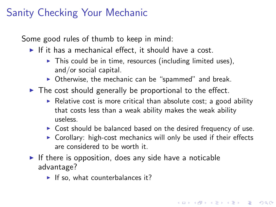# Sanity Checking Your Mechanic

Some good rules of thumb to keep in mind:

- If it has a mechanical effect, it should have a cost.
	- $\triangleright$  This could be in time, resources (including limited uses), and/or social capital.
	- $\triangleright$  Otherwise, the mechanic can be "spammed" and break.
- $\triangleright$  The cost should generally be proportional to the effect.
	- $\triangleright$  Relative cost is more critical than absolute cost; a good ability that costs less than a weak ability makes the weak ability useless.
	- $\triangleright$  Cost should be balanced based on the desired frequency of use.
	- $\triangleright$  Corollary: high-cost mechanics will only be used if their effects are considered to be worth it.

**KORK ERKER ADE YOUR** 

- If there is opposition, does any side have a noticable advantage?
	- $\blacktriangleright$  If so, what counterbalances it?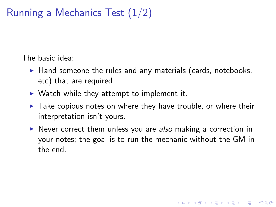# Running a Mechanics Test (1/2)

The basic idea:

- $\blacktriangleright$  Hand someone the rules and any materials (cards, notebooks, etc) that are required.
- $\triangleright$  Watch while they attempt to implement it.
- $\triangleright$  Take copious notes on where they have trouble, or where their interpretation isn't yours.
- $\triangleright$  Never correct them unless you are also making a correction in your notes; the goal is to run the mechanic without the GM in the end.

**KORK ERKER ADE YOUR**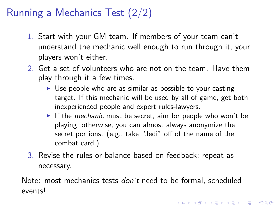# Running a Mechanics Test (2/2)

- 1. Start with your GM team. If members of your team can't understand the mechanic well enough to run through it, your players won't either.
- 2. Get a set of volunteers who are not on the team. Have them play through it a few times.
	- $\triangleright$  Use people who are as similar as possible to your casting target. If this mechanic will be used by all of game, get both inexperienced people and expert rules-lawyers.
	- If the mechanic must be secret, aim for people who won't be playing; otherwise, you can almost always anonymize the secret portions. (e.g., take "Jedi" off of the name of the combat card.)
- 3. Revise the rules or balance based on feedback; repeat as necessary.

Note: most mechanics tests *don't* need to be formal, scheduled events!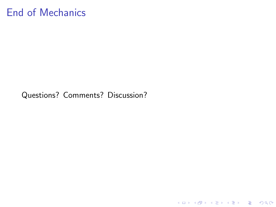# End of Mechanics

Questions? Comments? Discussion?

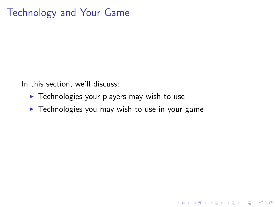# Technology and Your Game

In this section, we'll discuss:

- $\blacktriangleright$  Technologies your players may wish to use
- $\blacktriangleright$  Technologies you may wish to use in your game

K ロ ▶ K @ ▶ K 할 > K 할 > 1 할 > 1 이익어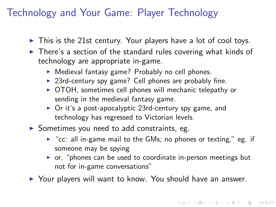# Technology and Your Game: Player Technology

- $\triangleright$  This is the 21st century. Your players have a lot of cool toys.
- $\triangleright$  There's a section of the standard rules covering what kinds of technology are appropriate in-game.
	- $\triangleright$  Medieval fantasy game? Probably no cell phones.
	- $\triangleright$  23rd-century spy game? Cell phones are probably fine.
	- $\triangleright$  OTOH, sometimes cell phones will mechanic telepathy or sending in the medieval fantasy game.
	- $\triangleright$  Or it's a post-apocalyptic 23rd-century spy game, and technology has regressed to Victorian levels.
- $\triangleright$  Sometimes you need to add constraints, eg.
	- $\triangleright$  "cc: all in-game mail to the GMs; no phones or texting," eg. if someone may be spying
	- $\triangleright$  or, "phones can be used to coordinate in-person meetings but not for in-game conversations"

4 D > 4 P + 4 B + 4 B + B + 9 Q O

▶ Your players will want to know. You should have an answer.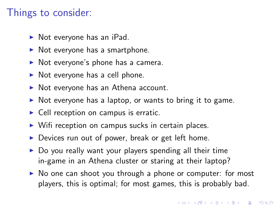#### Things to consider:

- $\triangleright$  Not everyone has an iPad.
- $\triangleright$  Not everyone has a smartphone.
- $\triangleright$  Not everyone's phone has a camera.
- $\triangleright$  Not everyone has a cell phone.
- $\triangleright$  Not everyone has an Athena account.
- $\triangleright$  Not everyone has a laptop, or wants to bring it to game.
- $\triangleright$  Cell reception on campus is erratic.
- $\triangleright$  Wifi reception on campus sucks in certain places.
- $\triangleright$  Devices run out of power, break or get left home.
- $\triangleright$  Do you really want your players spending all their time in-game in an Athena cluster or staring at their laptop?
- $\triangleright$  No one can shoot you through a phone or computer: for most players, this is optimal; for most games, this is probably bad.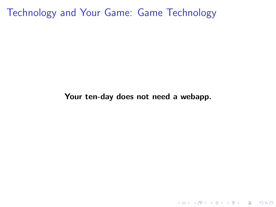Technology and Your Game: Game Technology

#### Your ten-day does not need a webapp.

K ロ ▶ K @ ▶ K 할 ▶ K 할 ▶ | 할 | ⊙Q @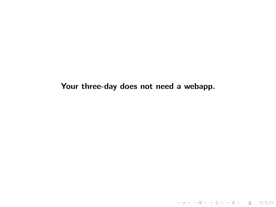Your three-day does not need a webapp.

K ロ ▶ K @ ▶ K 할 ▶ K 할 ▶ ... 할 ... 9 Q Q ·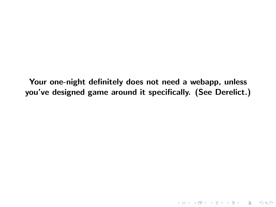Your one-night definitely does not need a webapp, unless you've designed game around it specifically. (See Derelict.)

K ロ ▶ K @ ▶ K 할 ▶ K 할 ▶ | 할 | ⊙Q @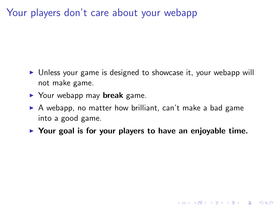Your players don't care about your webapp

- $\triangleright$  Unless your game is designed to showcase it, your webapp will not make game.
- $\blacktriangleright$  Your webapp may **break** game.
- $\triangleright$  A webapp, no matter how brilliant, can't make a bad game into a good game.
- $\triangleright$  Your goal is for your players to have an enjoyable time.

**KOD KARD KED KED E VOOR**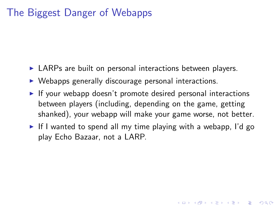### The Biggest Danger of Webapps

- $\triangleright$  LARPs are built on personal interactions between players.
- $\triangleright$  Webapps generally discourage personal interactions.
- If your webapp doesn't promote desired personal interactions between players (including, depending on the game, getting shanked), your webapp will make your game worse, not better.
- If I wanted to spend all my time playing with a webapp, I'd go play Echo Bazaar, not a LARP.

**KORKAR KERKER E VOOR**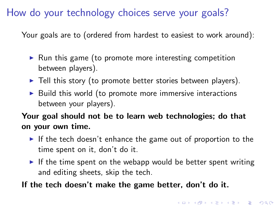### How do your technology choices serve your goals?

Your goals are to (ordered from hardest to easiest to work around):

- $\triangleright$  Run this game (to promote more interesting competition between players).
- $\blacktriangleright$  Tell this story (to promote better stories between players).
- $\triangleright$  Build this world (to promote more immersive interactions between your players).

#### Your goal should not be to learn web technologies; do that on your own time.

- If the tech doesn't enhance the game out of proportion to the time spent on it, don't do it.
- If the time spent on the webapp would be better spent writing and editing sheets, skip the tech.
- If the tech doesn't make the game better, don't do it.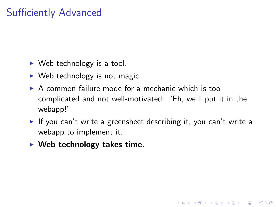# Sufficiently Advanced

- $\triangleright$  Web technology is a tool.
- $\triangleright$  Web technology is not magic.
- $\triangleright$  A common failure mode for a mechanic which is too complicated and not well-motivated: "Eh, we'll put it in the webapp!"
- If you can't write a greensheet describing it, you can't write a webapp to implement it.

**KORK ERKER ADAM ADA** 

 $\blacktriangleright$  Web technology takes time.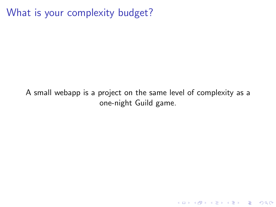What is your complexity budget?

A small webapp is a project on the same level of complexity as a one-night Guild game.

K ロ ▶ K @ ▶ K 할 ▶ K 할 ▶ ... 할 → 9 Q @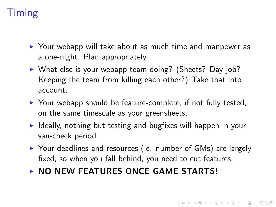# Timing

- $\triangleright$  Your webapp will take about as much time and manpower as a one-night. Plan appropriately.
- $\triangleright$  What else is your webapp team doing? (Sheets? Day job? Keeping the team from killing each other?) Take that into account.
- $\triangleright$  Your webapp should be feature-complete, if not fully tested, on the same timescale as your greensheets.
- $\triangleright$  Ideally, nothing but testing and bugfixes will happen in your san-check period.
- $\triangleright$  Your deadlines and resources (ie. number of GMs) are largely fixed, so when you fall behind, you need to cut features.
- $\triangleright$  NO NEW FEATURES ONCE GAME STARTS!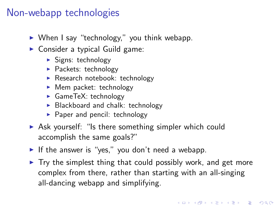### Non-webapp technologies

- $\triangleright$  When I say "technology," you think webapp.
- $\triangleright$  Consider a typical Guild game:
	- $\blacktriangleright$  Signs: technology
	- $\blacktriangleright$  Packets: technology
	- $\blacktriangleright$  Research notebook: technology
	- $\blacktriangleright$  Mem packet: technology
	- $\blacktriangleright$  GameTeX: technology
	- $\triangleright$  Blackboard and chalk: technology
	- $\blacktriangleright$  Paper and pencil: technology
- $\triangleright$  Ask yourself: "Is there something simpler which could accomplish the same goals?"
- If the answer is "yes," you don't need a webapp.
- $\triangleright$  Try the simplest thing that could possibly work, and get more complex from there, rather than starting with an all-singing all-dancing webapp and simplifying.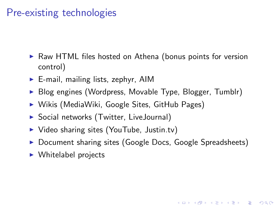# Pre-existing technologies

- $\triangleright$  Raw HTML files hosted on Athena (bonus points for version control)
- $\blacktriangleright$  E-mail, mailing lists, zephyr, AIM
- ▶ Blog engines (Wordpress, Movable Type, Blogger, Tumblr)
- $\triangleright$  Wikis (MediaWiki, Google Sites, GitHub Pages)
- ▶ Social networks (Twitter, LiveJournal)
- $\triangleright$  Video sharing sites (YouTube, Justin.tv)
- ▶ Document sharing sites (Google Docs, Google Spreadsheets)

**KORK ERKER ADAM ADA** 

<span id="page-82-0"></span> $\triangleright$  Whitelabel projects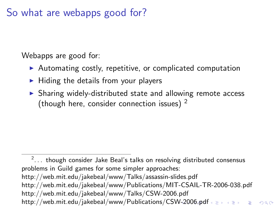### So what are webapps good for?

Webapps are good for:

- $\triangleright$  Automating costly, repetitive, or complicated computation
- $\blacktriangleright$  Hiding the details from your players
- $\triangleright$  Sharing widely-distributed state and allowing remote access (though here, consider connection issues)  $2$

<span id="page-83-0"></span> $^2\!\ldots\,$  though consider Jake Beal's talks on resolving distributed consensus problems in Guild games for some simpler approaches: http://web.mit.edu/jakebeal/www/Talks/assassin-slides.pdf http://web.mit.edu/jakebeal/www/Publications/MIT-CSAIL-TR-2006-038.pdf http://web.mit.edu/jakebeal/www/Talks/CSW-2006.pdf http://web.mit.edu/jakebeal/www/Publications/CS[W-](#page-82-0)2[00](#page-84-0)[6](#page-82-0)[.p](#page-83-0)[df](#page-84-0)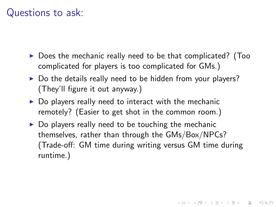### Questions to ask:

- $\triangleright$  Does the mechanic really need to be that complicated? (Too complicated for players is too complicated for GMs.)
- $\triangleright$  Do the details really need to be hidden from your players? (They'll figure it out anyway.)
- $\triangleright$  Do players really need to interact with the mechanic remotely? (Easier to get shot in the common room.)
- <span id="page-84-0"></span> $\triangleright$  Do players really need to be touching the mechanic themselves, rather than through the GMs/Box/NPCs? (Trade-off: GM time during writing versus GM time during runtime.)

4 D > 4 P + 4 B + 4 B + B + 9 Q O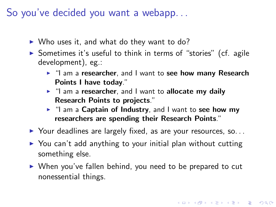So you've decided you want a webapp. . .

- $\triangleright$  Who uses it, and what do they want to do?
- $\triangleright$  Sometimes it's useful to think in terms of "stories" (cf. agile development), eg.:
	- I "I am a researcher, and I want to see how many Research Points I have today."
	- $\blacktriangleright$  "I am a researcher, and I want to allocate my daily Research Points to projects."
	- $\blacktriangleright$  "I am a Captain of Industry, and I want to see how my researchers are spending their Research Points."
- $\triangleright$  Your deadlines are largely fixed, as are your resources, so...
- $\triangleright$  You can't add anything to your initial plan without cutting something else.
- $\triangleright$  When you've fallen behind, you need to be prepared to cut nonessential things.

4 D > 4 P + 4 B + 4 B + B + 9 Q O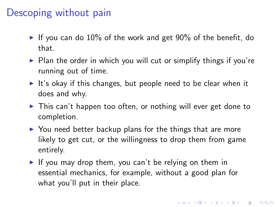### Descoping without pain

- If you can do 10% of the work and get 90% of the benefit, do that.
- $\triangleright$  Plan the order in which you will cut or simplify things if you're running out of time.
- It's okay if this changes, but people need to be clear when it does and why.
- $\triangleright$  This can't happen too often, or nothing will ever get done to completion.
- $\triangleright$  You need better backup plans for the things that are more likely to get cut, or the willingness to drop them from game entirely.
- If you may drop them, you can't be relying on them in essential mechanics, for example, without a good plan for what you'll put in their place.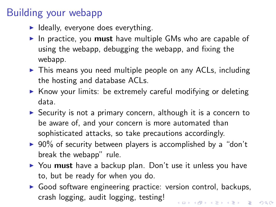# Building your webapp

- $\blacktriangleright$  Ideally, everyone does everything.
- In practice, you must have multiple GMs who are capable of using the webapp, debugging the webapp, and fixing the webapp.
- $\triangleright$  This means you need multiple people on any ACLs, including the hosting and database ACLs.
- $\triangleright$  Know your limits: be extremely careful modifying or deleting data.
- $\triangleright$  Security is not a primary concern, although it is a concern to be aware of, and your concern is more automated than sophisticated attacks, so take precautions accordingly.
- $\triangleright$  90% of security between players is accomplished by a "don't break the webapp" rule.
- $\triangleright$  You must have a backup plan. Don't use it unless you have to, but be ready for when you do.
- $\triangleright$  Good software engineering practice: version control, backups, crash logging, audit logging, testing!4 D > 4 P + 4 B + 4 B + B + 9 Q O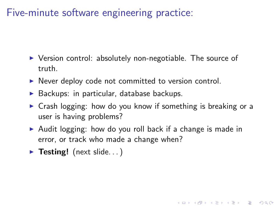Five-minute software engineering practice:

- $\triangleright$  Version control: absolutely non-negotiable. The source of truth.
- $\triangleright$  Never deploy code not committed to version control.
- $\triangleright$  Backups: in particular, database backups.
- $\triangleright$  Crash logging: how do you know if something is breaking or a user is having problems?

4 D > 4 P + 4 B + 4 B + B + 9 Q O

- $\triangleright$  Audit logging: how do you roll back if a change is made in error, or track who made a change when?
- $\triangleright$  Testing! (next slide...)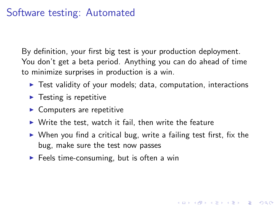## Software testing: Automated

By definition, your first big test is your production deployment. You don't get a beta period. Anything you can do ahead of time to minimize surprises in production is a win.

- $\triangleright$  Test validity of your models; data, computation, interactions
- $\blacktriangleright$  Testing is repetitive
- $\blacktriangleright$  Computers are repetitive
- $\triangleright$  Write the test, watch it fail, then write the feature
- $\triangleright$  When you find a critical bug, write a failing test first, fix the bug, make sure the test now passes

4 D > 4 P + 4 B + 4 B + B + 9 Q O

 $\blacktriangleright$  Feels time-consuming, but is often a win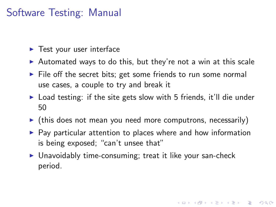# Software Testing: Manual

- $\blacktriangleright$  Test your user interface
- $\triangleright$  Automated ways to do this, but they're not a win at this scale
- $\triangleright$  File off the secret bits; get some friends to run some normal use cases, a couple to try and break it
- $\triangleright$  Load testing: if the site gets slow with 5 friends, it'll die under 50
- $\triangleright$  (this does not mean you need more computrons, necessarily)
- $\triangleright$  Pay particular attention to places where and how information is being exposed; "can't unsee that"

4 D > 4 P + 4 B + 4 B + B + 9 Q O

<span id="page-90-0"></span> $\triangleright$  Unavoidably time-consuming; treat it like your san-check period.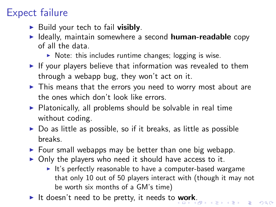# Expect failure

- $\triangleright$  Build your tech to fail visibly.
- $\blacktriangleright$  Ideally, maintain somewhere a second human-readable copy of all the data.
	- $\triangleright$  Note: this includes runtime changes; logging is wise.
- $\blacktriangleright$  If your players believe that information was revealed to them through a webapp bug, they won't act on it.
- $\triangleright$  This means that the errors you need to worry most about are the ones which don't look like errors.
- $\triangleright$  Platonically, all problems should be solvable in real time without coding.
- $\triangleright$  Do as little as possible, so if it breaks, as little as possible breaks.
- $\triangleright$  Four small webapps may be better than one big webapp.
- $\triangleright$  Only the players who need it should have access to it.
	- $\blacktriangleright$  It's perfectly reasonable to have a computer-based wargame that only 10 out of 50 players interact with (though it may not be worth six months of a GM's time)
- <span id="page-91-0"></span>It doesn't need to be pretty, it needs to [w](#page-90-0)[or](#page-92-0)[k](#page-90-0)[.](#page-91-0)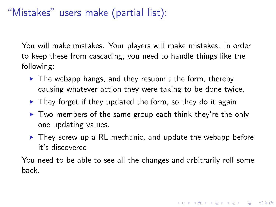# "Mistakes" users make (partial list):

You will make mistakes. Your players will make mistakes. In order to keep these from cascading, you need to handle things like the following:

- $\blacktriangleright$  The webapp hangs, and they resubmit the form, thereby causing whatever action they were taking to be done twice.
- $\triangleright$  They forget if they updated the form, so they do it again.
- $\triangleright$  Two members of the same group each think they're the only one updating values.
- $\triangleright$  They screw up a RL mechanic, and update the webapp before it's discovered

<span id="page-92-0"></span>You need to be able to see all the changes and arbitrarily roll some back.

4 D > 4 P + 4 B + 4 B + B + 9 Q O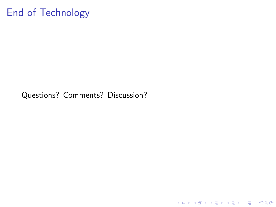# End of Technology

<span id="page-93-0"></span>Questions? Comments? Discussion?

K ロ ▶ K @ ▶ K 할 ▶ K 할 ▶ ... 할 ... 9 Q Q ·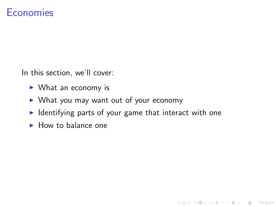#### **Economies**

In this section, we'll cover:

- $\triangleright$  What an economy is
- $\triangleright$  What you may want out of your economy
- $\blacktriangleright$  Identifying parts of your game that interact with one

K ロ ▶ K @ ▶ K 할 > K 할 > 1 할 > 1 이익어

<span id="page-94-0"></span> $\blacktriangleright$  How to balance one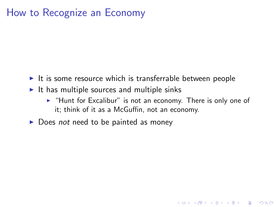### How to Recognize an Economy

- $\blacktriangleright$  It is some resource which is transferrable between people
- $\blacktriangleright$  It has multiple sources and multiple sinks
	- $\blacktriangleright$  "Hunt for Excalibur" is not an economy. There is only one of it; think of it as a McGuffin, not an economy.

**KORK ERKER ADE YOUR** 

 $\triangleright$  Does not need to be painted as money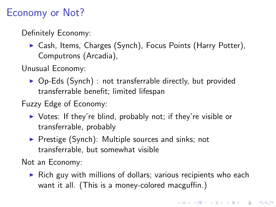# Economy or Not?

Definitely Economy:

 $\triangleright$  Cash, Items, Charges (Synch), Focus Points (Harry Potter), Computrons (Arcadia),

Unusual Economy:

- $\triangleright$  Op-Eds (Synch) : not transferrable directly, but provided transferrable benefit; limited lifespan
- Fuzzy Edge of Economy:
	- $\triangleright$  Votes: If they're blind, probably not; if they're visible or transferrable, probably
	- $\triangleright$  Prestige (Synch): Multiple sources and sinks; not transferrable, but somewhat visible

Not an Economy:

 $\triangleright$  Rich guy with millions of dollars; various recipients who each want it all. (This is a money-colored macguffin.)

4 D > 4 P + 4 B + 4 B + B + 9 Q O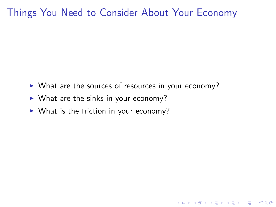### Things You Need to Consider About Your Economy

 $\triangleright$  What are the sources of resources in your economy?

K ロ ▶ K @ ▶ K 할 > K 할 > 1 할 > 1 이익어

- $\triangleright$  What are the sinks in your economy?
- $\triangleright$  What is the friction in your economy?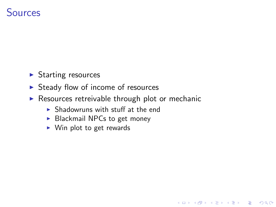### **Sources**

- $\blacktriangleright$  Starting resources
- $\triangleright$  Steady flow of income of resources
- $\triangleright$  Resources retreivable through plot or mechanic

K ロ ▶ K @ ▶ K 할 ▶ K 할 ▶ 이 할 → 9 Q @

- $\blacktriangleright$  Shadowruns with stuff at the end
- $\blacktriangleright$  Blackmail NPCs to get money
- $\triangleright$  Win plot to get rewards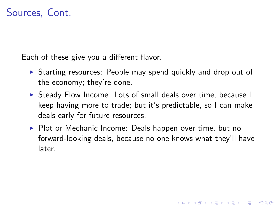### Sources, Cont.

Each of these give you a different flavor.

- $\triangleright$  Starting resources: People may spend quickly and drop out of the economy; they're done.
- ▶ Steady Flow Income: Lots of small deals over time, because I keep having more to trade; but it's predictable, so I can make deals early for future resources.
- $\triangleright$  Plot or Mechanic Income: Deals happen over time, but no forward-looking deals, because no one knows what they'll have later.

**KORK ERKER ADE YOUR**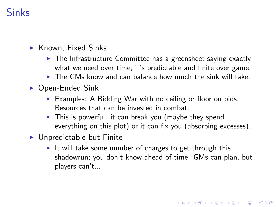# Sinks

#### $\blacktriangleright$  Known, Fixed Sinks

- $\triangleright$  The Infrastructure Committee has a greensheet saying exactly what we need over time; it's predictable and finite over game.
- $\triangleright$  The GMs know and can balance how much the sink will take.
- $\triangleright$  Open-Ended Sink
	- $\triangleright$  Examples: A Bidding War with no ceiling or floor on bids. Resources that can be invested in combat.
	- $\triangleright$  This is powerful: it can break you (maybe they spend everything on this plot) or it can fix you (absorbing excesses).
- <span id="page-100-0"></span> $\blacktriangleright$  Unpredictable but Finite
	- It will take some number of charges to get through this shadowrun; you don't know ahead of time. GMs can plan, but players can't...

4 D > 4 P + 4 B + 4 B + B + 9 Q O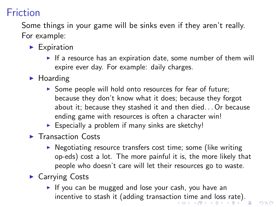# Friction

Some things in your game will be sinks even if they aren't really. For example:

- $\blacktriangleright$  Expiration
	- If a resource has an expiration date, some number of them will expire ever day. For example: daily charges.
- $\blacktriangleright$  Hoarding
	- $\triangleright$  Some people will hold onto resources for fear of future; because they don't know what it does; because they forgot about it; because they stashed it and then died. . . Or because ending game with resources is often a character win!
	- $\triangleright$  Especially a problem if many sinks are sketchy!
- $\blacktriangleright$  Transaction Costs
	- $\triangleright$  Negotiating resource transfers cost time; some (like writing op-eds) cost a lot. The more painful it is, the more likely that people who doesn't care will let their resources go to waste.
- <span id="page-101-0"></span> $\blacktriangleright$  Carrying Costs
	- If you can be mugged and lose your cash, you have an incentive to stash it (adding transacti[on](#page-100-0) [tim](#page-102-0)[e](#page-106-0) [a](#page-101-0)[n](#page-102-0)[d](#page-93-0) [l](#page-94-0)[o](#page-105-0)[ss](#page-106-0) [r](#page-93-0)[a](#page-94-0)[t](#page-105-0)e[\).](#page-0-0)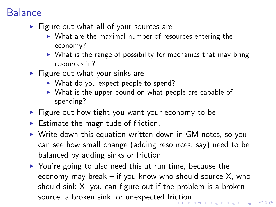### Balance

- $\blacktriangleright$  Figure out what all of your sources are
	- $\triangleright$  What are the maximal number of resources entering the economy?
	- $\triangleright$  What is the range of possibility for mechanics that may bring resources in?
- $\blacktriangleright$  Figure out what your sinks are
	- $\triangleright$  What do you expect people to spend?
	- $\triangleright$  What is the upper bound on what people are capable of spending?
- $\blacktriangleright$  Figure out how tight you want your economy to be.
- $\blacktriangleright$  Estimate the magnitude of friction.
- $\triangleright$  Write down this equation written down in GM notes, so you can see how small change (adding resources, say) need to be balanced by adding sinks or friction
- <span id="page-102-0"></span> $\triangleright$  You're going to also need this at run time, because the economy may break – if you know who should source X, who should sink X, you can figure out if the problem is a broken source, a broken sink, or unexpected fri[cti](#page-101-0)[on](#page-103-0)[.](#page-101-0)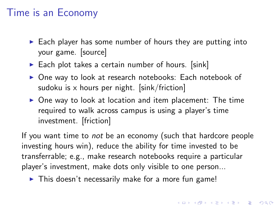### Time is an Economy

- $\triangleright$  Each player has some number of hours they are putting into your game. [source]
- $\triangleright$  Each plot takes a certain number of hours. [sink]
- ▶ One way to look at research notebooks: Each notebook of sudoku is  $x$  hours per night. [sink/friction]
- $\triangleright$  One way to look at location and item placement: The time required to walk across campus is using a player's time investment. [friction]

If you want time to *not* be an economy (such that hardcore people investing hours win), reduce the ability for time invested to be transferrable; e.g., make research notebooks require a particular player's investment, make dots only visible to one person...

<span id="page-103-0"></span> $\blacktriangleright$  This doesn't necessarily make for a more fun game!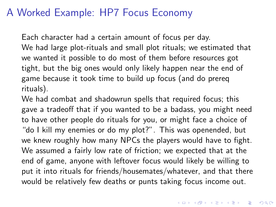### A Worked Example: HP7 Focus Economy

Each character had a certain amount of focus per day. We had large plot-rituals and small plot rituals; we estimated that we wanted it possible to do most of them before resources got tight, but the big ones would only likely happen near the end of game because it took time to build up focus (and do prereq rituals).

We had combat and shadowrun spells that required focus; this gave a tradeoff that if you wanted to be a badass, you might need to have other people do rituals for you, or might face a choice of "do I kill my enemies or do my plot?". This was openended, but we knew roughly how many NPCs the players would have to fight. We assumed a fairly low rate of friction; we expected that at the end of game, anyone with leftover focus would likely be willing to put it into rituals for friends/housemates/whatever, and that there would be relatively few deaths or punts taking focus income out.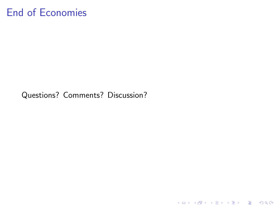# End of Economies

<span id="page-105-0"></span>Questions? Comments? Discussion?

KID KAR KERKER E 1990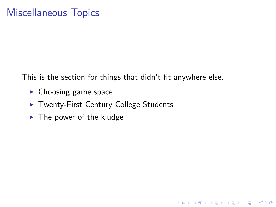### Miscellaneous Topics

This is the section for things that didn't fit anywhere else.

K ロ ▶ K @ ▶ K 할 > K 할 > 1 할 > 1 이익어

- $\blacktriangleright$  Choosing game space
- ▶ Twenty-First Century College Students
- <span id="page-106-0"></span> $\blacktriangleright$  The power of the kludge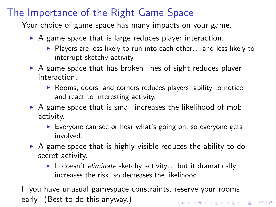# The Importance of the Right Game Space

Your choice of game space has many impacts on your game.

- $\triangleright$  A game space that is large reduces player interaction.
	- $\blacktriangleright$  Players are less likely to run into each other... and less likely to interrupt sketchy activity.
- $\triangleright$  A game space that has broken lines of sight reduces player interaction.
	- $\triangleright$  Rooms, doors, and corners reduces players' ability to notice and react to interesting activity.
- $\triangleright$  A game space that is small increases the likelihood of mob activity.
	- $\triangleright$  Everyone can see or hear what's going on, so everyone gets involved.
- $\triangleright$  A game space that is highly visible reduces the ability to do secret activity.
	- It doesn't eliminate sketchy activity... but it dramatically increases the risk, so decreases the likelihood.

If you have unusual gamespace constraints, reserve your rooms early! (Best to do this anyway.)4 D > 4 P + 4 B + 4 B + B + 9 Q O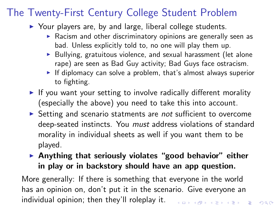### The Twenty-First Century College Student Problem

 $\triangleright$  Your players are, by and large, liberal college students.

- $\blacktriangleright$  Racism and other discriminatory opinions are generally seen as bad. Unless explicitly told to, no one will play them up.
- $\triangleright$  Bullying, gratuitous violence, and sexual harassment (let alone rape) are seen as Bad Guy activity; Bad Guys face ostracism.
- $\blacktriangleright$  If diplomacy can solve a problem, that's almost always superior to fighting.
- If you want your setting to involve radically different morality (especially the above) you need to take this into account.
- $\triangleright$  Setting and scenario statments are *not* sufficient to overcome deep-seated instincts. You *must* address violations of standard morality in individual sheets as well if you want them to be played.
- $\triangleright$  Anything that seriously violates "good behavior" either in play or in backstory should have an app question.

More generally: If there is something that everyone in the world has an opinion on, don't put it in the scenario. Give everyone an individual opinion; then they'll roleplay it.4 D > 4 P + 4 B + 4 B + B + 9 Q O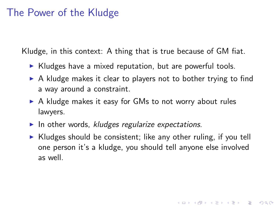### The Power of the Kludge

Kludge, in this context: A thing that is true because of GM fiat.

- $\triangleright$  Kludges have a mixed reputation, but are powerful tools.
- $\triangleright$  A kludge makes it clear to players not to bother trying to find a way around a constraint.
- $\triangleright$  A kludge makes it easy for GMs to not worry about rules lawyers.
- In other words, kludges regularize expectations.
- $\triangleright$  Kludges should be consistent; like any other ruling, if you tell one person it's a kludge, you should tell anyone else involved as well.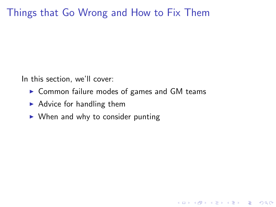### Things that Go Wrong and How to Fix Them

In this section, we'll cover:

 $\triangleright$  Common failure modes of games and GM teams

K ロ ▶ K @ ▶ K 할 > K 할 > 1 할 > 1 이익어

- $\blacktriangleright$  Advice for handling them
- $\triangleright$  When and why to consider punting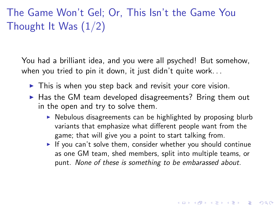The Game Won't Gel; Or, This Isn't the Game You Thought It Was  $(1/2)$ 

You had a brilliant idea, and you were all psyched! But somehow, when you tried to pin it down, it just didn't quite work. . .

- $\blacktriangleright$  This is when you step back and revisit your core vision.
- $\blacktriangleright$  Has the GM team developed disagreements? Bring them out in the open and try to solve them.
	- $\triangleright$  Nebulous disagreements can be highlighted by proposing blurb variants that emphasize what different people want from the game; that will give you a point to start talking from.
	- If you can't solve them, consider whether you should continue as one GM team, shed members, split into multiple teams, or punt. None of these is something to be embarassed about.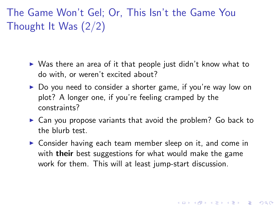# The Game Won't Gel; Or, This Isn't the Game You Thought It Was (2/2)

- $\triangleright$  Was there an area of it that people just didn't know what to do with, or weren't excited about?
- $\triangleright$  Do you need to consider a shorter game, if you're way low on plot? A longer one, if you're feeling cramped by the constraints?
- $\triangleright$  Can you propose variants that avoid the problem? Go back to the blurb test.
- $\triangleright$  Consider having each team member sleep on it, and come in with **their** best suggestions for what would make the game work for them. This will at least jump-start discussion.

**KORKAR KERKER E VOOR**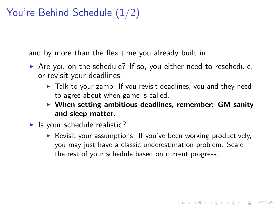## You're Behind Schedule (1/2)

...and by more than the flex time you already built in.

- $\triangleright$  Are you on the schedule? If so, you either need to reschedule, or revisit your deadlines.
	- $\blacktriangleright$  Talk to your zamp. If you revisit deadlines, you and they need to agree about when game is called.
	- $\triangleright$  When setting ambitious deadlines, remember: GM sanity and sleep matter.
- $\blacktriangleright$  Is your schedule realistic?
	- $\triangleright$  Revisit your assumptions. If you've been working productively, you may just have a classic underestimation problem. Scale the rest of your schedule based on current progress.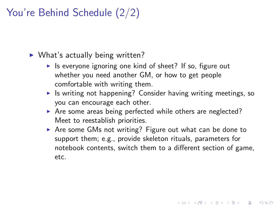## You're Behind Schedule (2/2)

 $\triangleright$  What's actually being written?

- If is everyone ignoring one kind of sheet? If so, figure out whether you need another GM, or how to get people comfortable with writing them.
- $\triangleright$  Is writing not happening? Consider having writing meetings, so you can encourage each other.
- $\triangleright$  Are some areas being perfected while others are neglected? Meet to reestablish priorities.
- $\triangleright$  Are some GMs not writing? Figure out what can be done to support them; e.g., provide skeleton rituals, parameters for notebook contents, switch them to a different section of game, etc.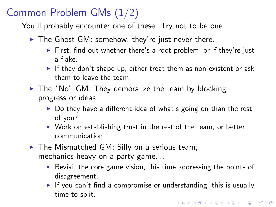## Common Problem GMs (1/2)

You'll probably encounter one of these. Try not to be one.

- $\triangleright$  The Ghost GM: somehow, they're just never there.
	- First, find out whether there's a root problem, or if they're just a flake.
	- If they don't shape up, either treat them as non-existent or ask them to leave the team.
- $\triangleright$  The "No" GM: They demoralize the team by blocking progress or ideas
	- $\triangleright$  Do they have a different idea of what's going on than the rest of you?
	- $\triangleright$  Work on establishing trust in the rest of the team, or better communication
- $\blacktriangleright$  The Mismatched GM: Silly on a serious team, mechanics-heavy on a party game. . .
	- $\triangleright$  Revisit the core game vision, this time addressing the points of disagreement.
	- If you can't find a compromise or understanding, this is usually time to split.4 D > 4 P + 4 B + 4 B + B + 9 Q O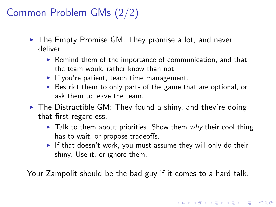## Common Problem GMs (2/2)

- $\triangleright$  The Empty Promise GM: They promise a lot, and never deliver
	- $\triangleright$  Remind them of the importance of communication, and that the team would rather know than not.
	- If you're patient, teach time management.
	- $\triangleright$  Restrict them to only parts of the game that are optional, or ask them to leave the team.
- $\blacktriangleright$  The Distractible GM: They found a shiny, and they're doing that first regardless.
	- $\triangleright$  Talk to them about priorities. Show them why their cool thing has to wait, or propose tradeoffs.
	- If that doesn't work, you must assume they will only do their shiny. Use it, or ignore them.

4 D > 4 P + 4 B + 4 B + B + 9 Q O

Your Zampolit should be the bad guy if it comes to a hard talk.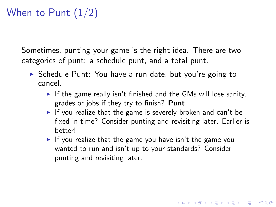# When to Punt  $(1/2)$

Sometimes, punting your game is the right idea. There are two categories of punt: a schedule punt, and a total punt.

- ▶ Schedule Punt: You have a run date, but you're going to cancel.
	- If the game really isn't finished and the GMs will lose sanity, grades or jobs if they try to finish? Punt
	- If you realize that the game is severely broken and can't be fixed in time? Consider punting and revisiting later. Earlier is better!

4 D > 4 P + 4 B + 4 B + B + 9 Q O

If you realize that the game you have isn't the game you wanted to run and isn't up to your standards? Consider punting and revisiting later.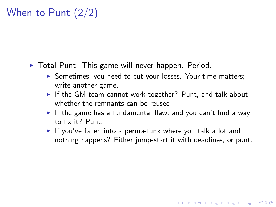# When to Punt (2/2)

- $\triangleright$  Total Punt: This game will never happen. Period.
	- ▶ Sometimes, you need to cut your losses. Your time matters; write another game.
	- If the GM team cannot work together? Punt, and talk about whether the remnants can be reused.
	- If the game has a fundamental flaw, and you can't find a way to fix it? Punt.
	- If you've fallen into a perma-funk where you talk a lot and nothing happens? Either jump-start it with deadlines, or punt.

**KORK ERKER ADAM ADA**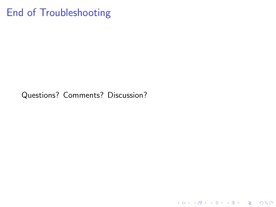### End of Troubleshooting

Questions? Comments? Discussion?

K ロ ▶ K @ ▶ K 할 ▶ K 할 ▶ ... 할 ... 9 Q Q ·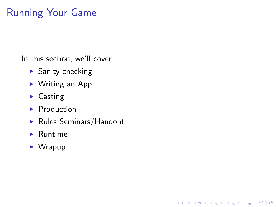## Running Your Game

In this section, we'll cover:

- $\blacktriangleright$  Sanity checking
- $\triangleright$  Writing an App
- $\blacktriangleright$  Casting
- $\blacktriangleright$  Production
- $\blacktriangleright$  Rules Seminars/Handout

K ロ ▶ K @ ▶ K 할 > K 할 > 1 할 > 1 이익어

- $\blacktriangleright$  Runtime
- $\blacktriangleright$  Wrapup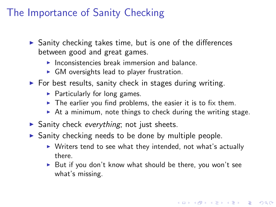### The Importance of Sanity Checking

- $\triangleright$  Sanity checking takes time, but is one of the differences between good and great games.
	- $\blacktriangleright$  Inconsistencies break immersion and balance.
	- $\triangleright$  GM oversights lead to player frustration.
- $\triangleright$  For best results, sanity check in stages during writing.
	- $\blacktriangleright$  Particularly for long games.
	- $\triangleright$  The earlier you find problems, the easier it is to fix them.
	- $\triangleright$  At a minimum, note things to check during the writing stage.
- $\triangleright$  Sanity check everything; not just sheets.
- $\triangleright$  Sanity checking needs to be done by multiple people.
	- $\triangleright$  Writers tend to see what they intended, not what's actually there.
	- $\triangleright$  But if you don't know what should be there, you won't see what's missing.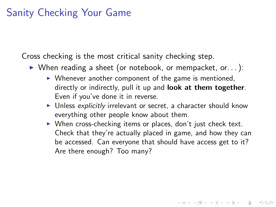### Sanity Checking Your Game

Cross checking is the most critical sanity checking step.

- $\triangleright$  When reading a sheet (or notebook, or mempacket, or...):
	- $\triangleright$  Whenever another component of the game is mentioned, directly or indirectly, pull it up and **look at them together**. Even if you've done it in reverse.
	- $\blacktriangleright$  Unless explicitly irrelevant or secret, a character should know everything other people know about them.
	- $\triangleright$  When cross-checking items or places, don't just check text. Check that they're actually placed in game, and how they can be accessed. Can everyone that should have access get to it? Are there enough? Too many?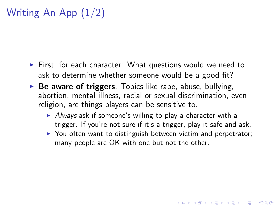# Writing An App (1/2)

- $\triangleright$  First, for each character: What questions would we need to ask to determine whether someone would be a good fit?
- $\triangleright$  Be aware of triggers. Topics like rape, abuse, bullying, abortion, mental illness, racial or sexual discrimination, even religion, are things players can be sensitive to.
	- $\blacktriangleright$  Always ask if someone's willing to play a character with a trigger. If you're not sure if it's a trigger, play it safe and ask.
	- $\triangleright$  You often want to distinguish between victim and perpetrator; many people are OK with one but not the other.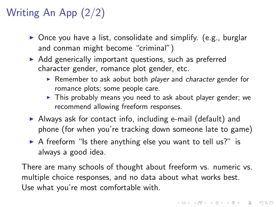# Writing An App (2/2)

- $\triangleright$  Once you have a list, consolidate and simplify. (e.g., burglar and conman might become "criminal")
- $\triangleright$  Add generically important questions, such as preferred character gender, romance plot gender, etc.
	- $\triangleright$  Remember to ask aobut both *player* and *character* gender for romance plots; some people care.
	- $\triangleright$  This probably means you need to ask about player gender; we recommend allowing freeform responses.
- $\triangleright$  Always ask for contact info, including e-mail (default) and phone (for when you're tracking down someone late to game)
- $\triangleright$  A freeform "Is there anything else you want to tell us?" is always a good idea.

There are many schools of thought about freeform vs. numeric vs. multiple choice responses, and no data about what works best. Use what you're most comfortable with.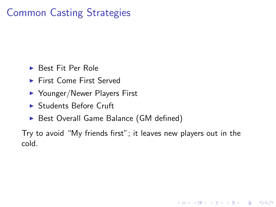## Common Casting Strategies

- $\blacktriangleright$  Best Fit Per Role
- ▶ First Come First Served
- $\blacktriangleright$  Younger/Newer Players First
- ▶ Students Before Cruft
- ▶ Best Overall Game Balance (GM defined)

Try to avoid "My friends first"; it leaves new players out in the cold.

**KOD KARD KED KED E VOOR**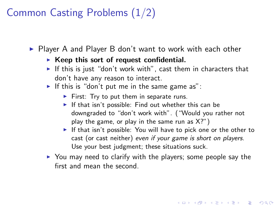## Common Casting Problems (1/2)

 $\triangleright$  Player A and Player B don't want to work with each other

#### $\triangleright$  Keep this sort of request confidential.

- If this is just "don't work with", cast them in characters that don't have any reason to interact.
- If this is "don't put me in the same game as":
	- $\blacktriangleright$  First: Try to put them in separate runs.
	- If that isn't possible: Find out whether this can be downgraded to "don't work with". ("Would you rather not play the game, or play in the same run as X?")
	- If that isn't possible: You will have to pick one or the other to cast (or cast neither) even if your game is short on players. Use your best judgment; these situations suck.

**K ロ ▶ K @ ▶ K 할 X X 할 X 및 할 X X Q Q O** 

 $\triangleright$  You may need to clarify with the players; some people say the first and mean the second.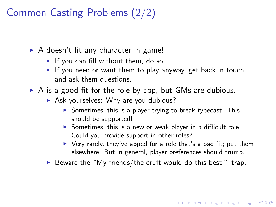### Common Casting Problems (2/2)

- $\triangleright$  A doesn't fit any character in game!
	- If you can fill without them, do so.
	- If you need or want them to play anyway, get back in touch and ask them questions.
- $\triangleright$  A is a good fit for the role by app, but GMs are dubious.
	- $\triangleright$  Ask yourselves: Why are you dubious?
		- $\triangleright$  Sometimes, this is a player trying to break typecast. This should be supported!
		- Sometimes, this is a new or weak player in a difficult role. Could you provide support in other roles?
		- $\triangleright$  Very rarely, they've apped for a role that's a bad fit; put them elsewhere. But in general, player preferences should trump.

 $\triangleright$  Beware the "My friends/the cruft would do this best!" trap.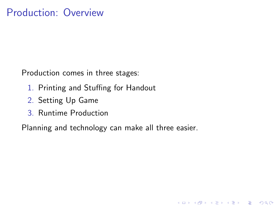Production comes in three stages:

- 1. Printing and Stuffing for Handout
- 2. Setting Up Game
- 3. Runtime Production

Planning and technology can make all three easier.

**K ロ ▶ K @ ▶ K 할 X X 할 X 및 할 X X Q Q O**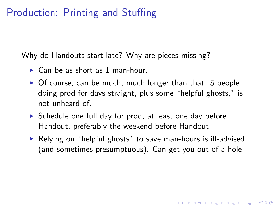### Production: Printing and Stuffing

Why do Handouts start late? Why are pieces missing?

- $\blacktriangleright$  Can be as short as 1 man-hour.
- $\triangleright$  Of course, can be much, much longer than that: 5 people doing prod for days straight, plus some "helpful ghosts," is not unheard of.
- $\triangleright$  Schedule one full day for prod, at least one day before Handout, preferably the weekend before Handout.
- $\triangleright$  Relying on "helpful ghosts" to save man-hours is ill-advised (and sometimes presumptuous). Can get you out of a hole.

**KORK ERKER ADAM ADA**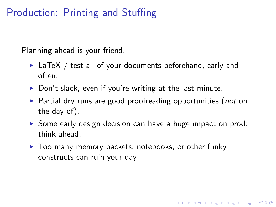### Production: Printing and Stuffing

Planning ahead is your friend.

- $\blacktriangleright$  LaTeX / test all of your documents beforehand, early and often.
- $\triangleright$  Don't slack, even if you're writing at the last minute.
- $\triangleright$  Partial dry runs are good proofreading opportunities (not on the day of).
- $\triangleright$  Some early design decision can have a huge impact on prod: think ahead!

4 D > 4 P + 4 B + 4 B + B + 9 Q O

 $\blacktriangleright$  Too many memory packets, notebooks, or other funky constructs can ruin your day.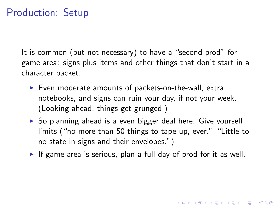### Production: Setup

It is common (but not necessary) to have a "second prod" for game area: signs plus items and other things that don't start in a character packet.

- $\blacktriangleright$  Even moderate amounts of packets-on-the-wall, extra notebooks, and signs can ruin your day, if not your week. (Looking ahead, things get grunged.)
- ▶ So planning ahead is a even bigger deal here. Give yourself limits ("no more than 50 things to tape up, ever." "Little to no state in signs and their envelopes.")
- If game area is serious, plan a full day of prod for it as well.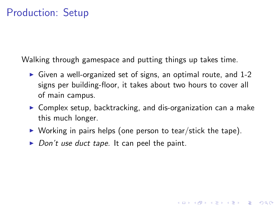### Production: Setup

Walking through gamespace and putting things up takes time.

- $\triangleright$  Given a well-organized set of signs, an optimal route, and 1-2 signs per building-floor, it takes about two hours to cover all of main campus.
- $\triangleright$  Complex setup, backtracking, and dis-organization can a make this much longer.

**KOD KARD KED KED E VOOR** 

- $\triangleright$  Working in pairs helps (one person to tear/stick the tape).
- $\triangleright$  Don't use duct tape. It can peel the paint.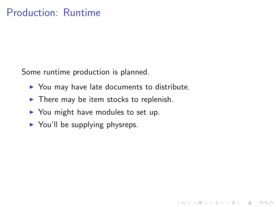### Production: Runtime

Some runtime production is planned.

 $\triangleright$  You may have late documents to distribute.

K ロ ▶ K @ ▶ K 할 > K 할 > 1 할 > 1 이익어

- $\blacktriangleright$  There may be item stocks to replenish.
- $\triangleright$  You might have modules to set up.
- $\triangleright$  You'll be supplying physreps.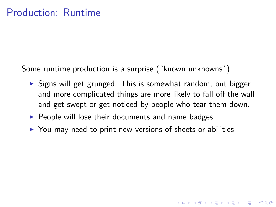Some runtime production is a surprise ("known unknowns").

 $\triangleright$  Signs will get grunged. This is somewhat random, but bigger and more complicated things are more likely to fall off the wall and get swept or get noticed by people who tear them down.

**K ロ ▶ K @ ▶ K 할 X X 할 X 및 할 X X Q Q O** 

- $\triangleright$  People will lose their documents and name badges.
- $\triangleright$  You may need to print new versions of sheets or abilities.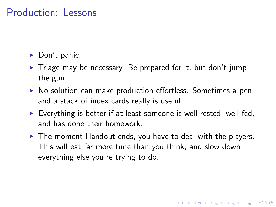### Production: Lessons

- $\blacktriangleright$  Don't panic.
- $\triangleright$  Triage may be necessary. Be prepared for it, but don't jump the gun.
- $\triangleright$  No solution can make production effortless. Sometimes a pen and a stack of index cards really is useful.
- $\triangleright$  Everything is better if at least someone is well-rested, well-fed, and has done their homework.
- $\blacktriangleright$  The moment Handout ends, you have to deal with the players. This will eat far more time than you think, and slow down everything else you're trying to do.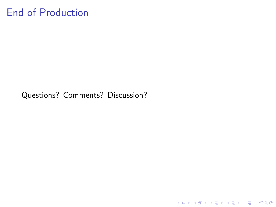### End of Production

Questions? Comments? Discussion?

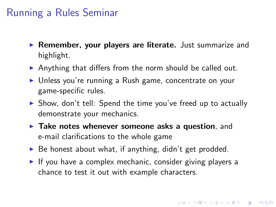### Running a Rules Seminar

- $\triangleright$  Remember, your players are literate. Just summarize and highlight.
- $\triangleright$  Anything that differs from the norm should be called out.
- ▶ Unless you're running a Rush game, concentrate on your game-specific rules.
- $\triangleright$  Show, don't tell: Spend the time you've freed up to actually demonstrate your mechanics.
- $\blacktriangleright$  Take notes whenever someone asks a question, and e-mail clarifications to the whole game
- $\triangleright$  Be honest about what, if anything, didn't get prodded.
- If you have a complex mechanic, consider giving players a chance to test it out with example characters.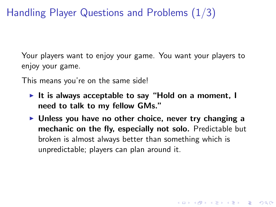Handling Player Questions and Problems (1/3)

Your players want to enjoy your game. You want your players to enjoy your game.

This means you're on the same side!

- It is always acceptable to say "Hold on a moment, I need to talk to my fellow GMs."
- $\triangleright$  Unless you have no other choice, never try changing a mechanic on the fly, especially not solo. Predictable but broken is almost always better than something which is unpredictable; players can plan around it.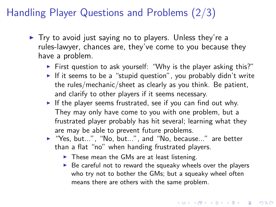### Handling Player Questions and Problems (2/3)

- $\blacktriangleright$  Try to avoid just saying no to players. Unless they're a rules-lawyer, chances are, they've come to you because they have a problem.
	- First question to ask yourself: "Why is the player asking this?"
	- If it seems to be a "stupid question", you probably didn't write the rules/mechanic/sheet as clearly as you think. Be patient, and clarify to other players if it seems necessary.
	- If the player seems frustrated, see if you can find out why. They may only have come to you with one problem, but a frustrated player probably has hit several; learning what they are may be able to prevent future problems.
	- $\blacktriangleright$  "Yes, but...", "No, but...", and "No, because..." are better than a flat "no" when handing frustrated players.
		- $\blacktriangleright$  These mean the GMs are at least listening.
		- $\triangleright$  Be careful not to reward the squeaky wheels over the players who try not to bother the GMs; but a squeaky wheel often means there are others with the same problem.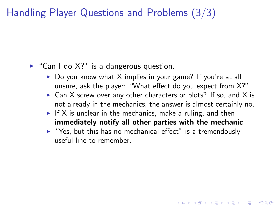## Handling Player Questions and Problems (3/3)

#### $\triangleright$  "Can I do X?" is a dangerous question.

- $\triangleright$  Do you know what X implies in your game? If you're at all unsure, ask the player: "What effect do you expect from X?"
- $\triangleright$  Can X screw over any other characters or plots? If so, and X is not already in the mechanics, the answer is almost certainly no.

**KORKAR KERKER E VOOR** 

- If X is unclear in the mechanics, make a ruling, and then immediately notify all other parties with the mechanic.
- $\blacktriangleright$  "Yes, but this has no mechanical effect" is a tremendously useful line to remember.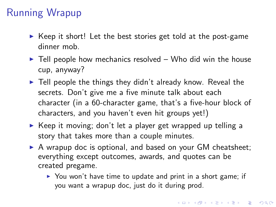# Running Wrapup

- $\triangleright$  Keep it short! Let the best stories get told at the post-game dinner mob.
- $\blacktriangleright$  Tell people how mechanics resolved Who did win the house cup, anyway?
- $\blacktriangleright$  Tell people the things they didn't already know. Reveal the secrets. Don't give me a five minute talk about each character (in a 60-character game, that's a five-hour block of characters, and you haven't even hit groups yet!)
- $\triangleright$  Keep it moving; don't let a player get wrapped up telling a story that takes more than a couple minutes.
- $\triangleright$  A wrapup doc is optional, and based on your GM cheatsheet; everything except outcomes, awards, and quotes can be created pregame.
	- $\triangleright$  You won't have time to update and print in a short game; if you want a wrapup doc, just do it during prod.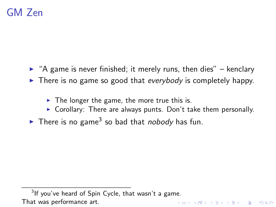## GM Zen

- $\triangleright$  "A game is never finished; it merely runs, then dies" kenclary
- $\blacktriangleright$  There is no game so good that everybody is completely happy.
	- $\triangleright$  The longer the game, the more true this is.
	- $\triangleright$  Corollary: There are always punts. Don't take them personally.
- There is no game<sup>3</sup> so bad that *nobody* has fun.

 $3$ If you've heard of Spin Cycle, that wasn't a game. That was performance art.**KORK ERKER ADAM ADA**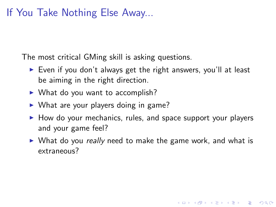### If You Take Nothing Else Away...

The most critical GMing skill is asking questions.

- $\triangleright$  Even if you don't always get the right answers, you'll at least be aiming in the right direction.
- $\triangleright$  What do you want to accomplish?
- $\triangleright$  What are your players doing in game?
- $\blacktriangleright$  How do your mechanics, rules, and space support your players and your game feel?
- $\triangleright$  What do you really need to make the game work, and what is extraneous?

**KORK ERKER ADAM ADA**